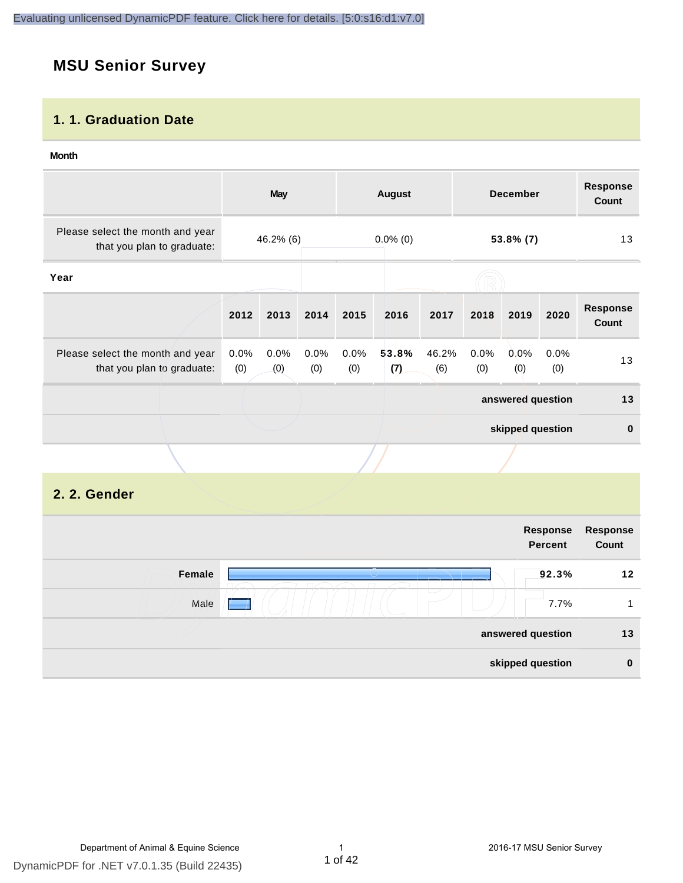# **MSU Senior Survey**

#### **1. 1. Graduation Date**

#### **Month**

|                                                                |                | <b>May</b>                            |             |             | <b>August</b> |              |             | <b>December</b>   |             | <b>Response</b><br><b>Count</b> |
|----------------------------------------------------------------|----------------|---------------------------------------|-------------|-------------|---------------|--------------|-------------|-------------------|-------------|---------------------------------|
| Please select the month and year<br>that you plan to graduate: |                | $0.0\%$ (0)<br>46.2% (6)<br>53.8% (7) |             |             | 13            |              |             |                   |             |                                 |
| Year                                                           |                |                                       |             |             |               |              |             |                   |             |                                 |
|                                                                | 2012           | 2013                                  | 2014        | 2015        | 2016          | 2017         | 2018        | 2019              | 2020        | <b>Response</b><br>Count        |
| Please select the month and year<br>that you plan to graduate: | $0.0\%$<br>(0) | 0.0%<br>(0)                           | 0.0%<br>(0) | 0.0%<br>(0) | 53.8%<br>(7)  | 46.2%<br>(6) | 0.0%<br>(0) | $0.0\%$<br>(0)    | 0.0%<br>(0) | 13                              |
|                                                                |                |                                       |             |             |               |              |             | answered question |             | 13                              |
|                                                                |                |                                       |             |             |               |              |             | skipped question  |             | $\mathbf{0}$                    |
|                                                                |                |                                       |             |             |               |              |             |                   |             |                                 |

### **2. 2. Gender**

|        | Response<br><b>Percent</b> | Response<br>Count |
|--------|----------------------------|-------------------|
| Female | 92.3%                      | 12                |
| Male   | 7.7%                       | и                 |
|        | answered question          | 13                |
|        | skipped question           | $\bf{0}$          |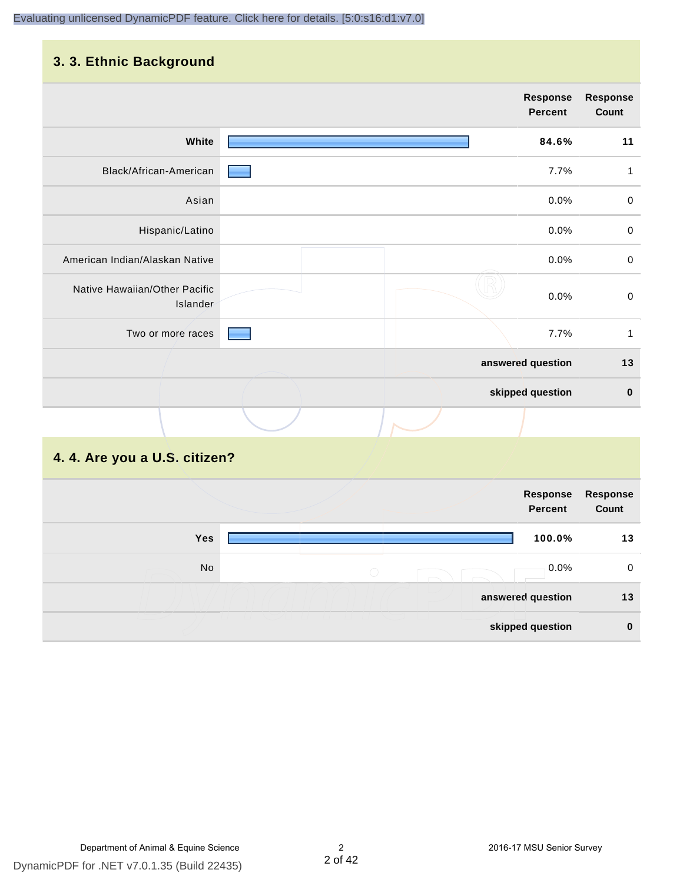#### **3. 3. Ethnic Background**

| the company's company's company's company's<br>. <b>.</b> |  |                            |                   |
|-----------------------------------------------------------|--|----------------------------|-------------------|
|                                                           |  | <b>Response</b><br>Percent | Response<br>Count |
| White                                                     |  | 84.6%                      | 11                |
| Black/African-American                                    |  | 7.7%                       | 1                 |
| Asian                                                     |  | 0.0%                       | $\mathbf 0$       |
| Hispanic/Latino                                           |  | 0.0%                       | 0                 |
| American Indian/Alaskan Native                            |  | 0.0%                       | $\pmb{0}$         |
| Native Hawaiian/Other Pacific<br>Islander                 |  | 0.0%                       | $\mathbf 0$       |
| Two or more races                                         |  | 7.7%                       | $\mathbf{1}$      |
|                                                           |  | answered question          | $13$              |
|                                                           |  | skipped question           | $\pmb{0}$         |
|                                                           |  |                            |                   |

# **4. 4. Are you a U.S. citizen?**

|     | Response<br>Percent | <b>Response</b><br>Count |
|-----|---------------------|--------------------------|
| Yes | 100.0%              | 13                       |
| No  | 0.0%<br>$\bigcirc$  | 0                        |
|     | answered question   | 13                       |
|     | skipped question    | $\bf{0}$                 |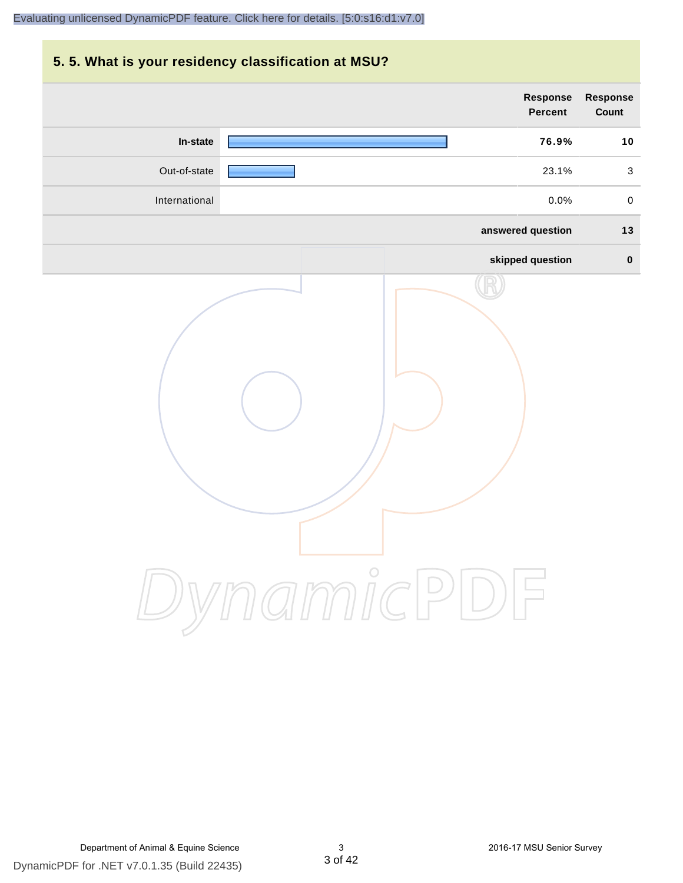# **5. 5. What is your residency classification at MSU? answered question 13 skipped question 0 Response Percent Response Count In-state 76.9% 10** Out-of-state 23.1% 3 International 0.0% 0

DynamicPDF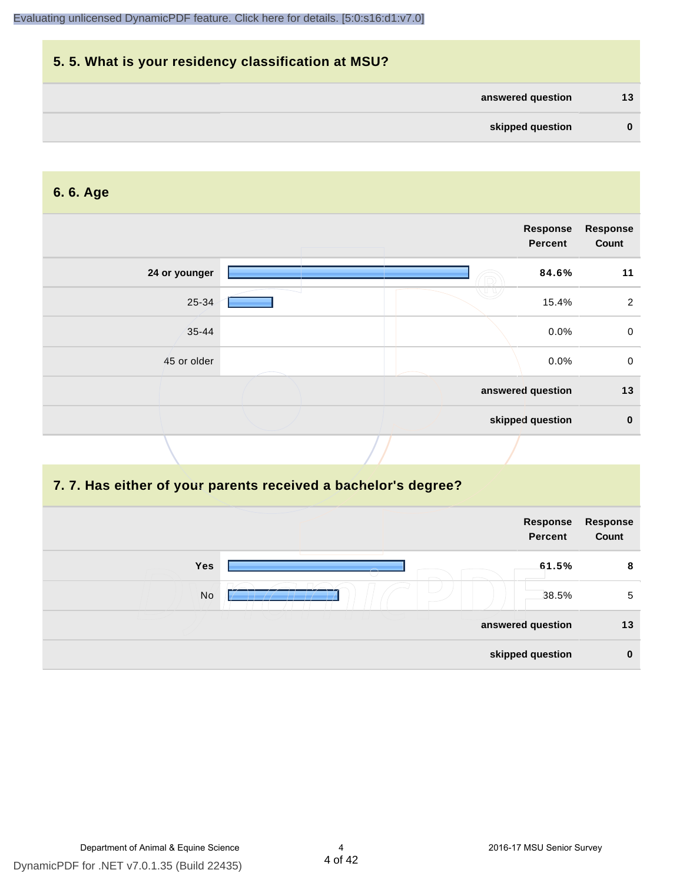

#### **6. 6. Age**

|               |  | Response<br><b>Percent</b> | <b>Response</b><br>Count |
|---------------|--|----------------------------|--------------------------|
| 24 or younger |  | 84.6%                      | 11                       |
| 25-34         |  | 15.4%                      | $\overline{2}$           |
| $35 - 44$     |  | 0.0%                       | $\mathbf 0$              |
| 45 or older   |  | 0.0%                       | $\mathbf 0$              |
|               |  | answered question          | 13                       |
|               |  | skipped question           | $\mathbf 0$              |

#### **7. 7. Has either of your parents received a bachelor's degree?**

|     | Response<br>Percent | Response<br>Count |
|-----|---------------------|-------------------|
| Yes | 61.5%               | 8                 |
| No  | 38.5%               | 5                 |
|     | answered question   | 13                |
|     | skipped question    | $\bf{0}$          |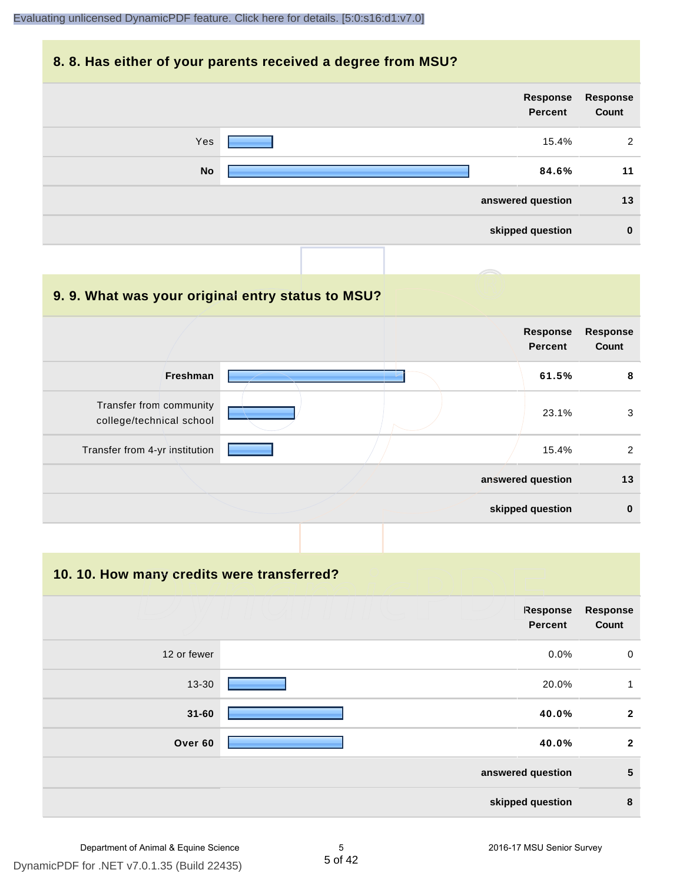#### **8. 8. Has either of your parents received a degree from MSU?**

| Response<br>Count | Response<br>Percent |           |
|-------------------|---------------------|-----------|
| 2                 | 15.4%               | Yes       |
| 11                | 84.6%               | <b>No</b> |
| 13                | answered question   |           |
| $\bf{0}$          | skipped question    |           |
|                   |                     |           |

| 9.9. What was your original entry status to MSU?    |                                   |                          |
|-----------------------------------------------------|-----------------------------------|--------------------------|
|                                                     | <b>Response</b><br><b>Percent</b> | <b>Response</b><br>Count |
| <b>Freshman</b>                                     | 61.5%                             | 8                        |
| Transfer from community<br>college/technical school | 23.1%                             | 3                        |
| Transfer from 4-yr institution                      | 15.4%                             | 2                        |
|                                                     | answered question                 | 13                       |
|                                                     | skipped question                  | $\bf{0}$                 |

**10. 10. How many credits were transferred?**

| <b>Response</b><br>Count | Response<br><b>Percent</b> |             |
|--------------------------|----------------------------|-------------|
| $\mathbf 0$              | $0.0\%$                    | 12 or fewer |
| 1                        | 20.0%                      | 13-30       |
| $\mathbf{2}$             | 40.0%                      | $31 - 60$   |
| $\overline{2}$           | 40.0%                      | Over 60     |
| 5                        | answered question          |             |
| 8                        | skipped question           |             |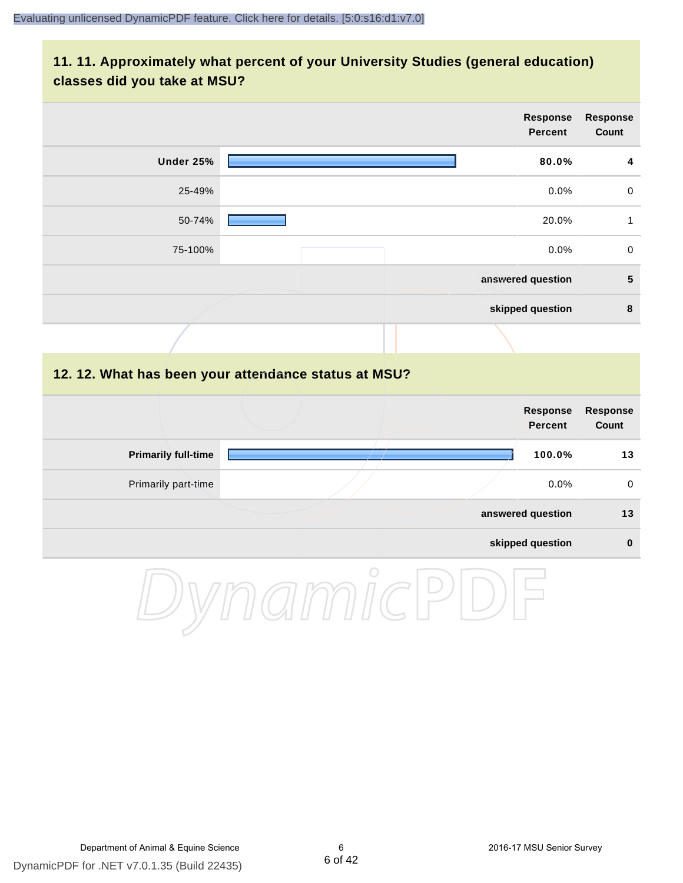### **11. 11. Approximately what percent of your University Studies (general education) classes did you take at MSU?**

|                            |                                                      |                   | Response<br><b>Percent</b>        | Response<br>Count        |
|----------------------------|------------------------------------------------------|-------------------|-----------------------------------|--------------------------|
| <b>Under 25%</b>           |                                                      |                   | 80.0%                             | 4                        |
| 25-49%                     |                                                      |                   | 0.0%                              | $\mathbf 0$              |
| 50-74%                     |                                                      |                   | 20.0%                             | $\mathbf{1}$             |
| 75-100%                    |                                                      |                   | 0.0%                              | $\pmb{0}$                |
|                            |                                                      | answered question |                                   | ${\bf 5}$                |
|                            |                                                      |                   | skipped question                  | $\pmb{8}$                |
|                            |                                                      |                   |                                   |                          |
|                            | 12. 12. What has been your attendance status at MSU? |                   |                                   |                          |
|                            |                                                      |                   | <b>Response</b><br><b>Percent</b> | <b>Response</b><br>Count |
| <b>Primarily full-time</b> |                                                      |                   | 100.0%                            | 13                       |
| Primarily part-time        |                                                      |                   | 0.0%                              | $\pmb{0}$                |
|                            |                                                      | answered question |                                   | 13                       |
|                            |                                                      |                   | skipped question                  | $\pmb{0}$                |
|                            | $\bigcirc$                                           |                   |                                   |                          |

DynamicPDF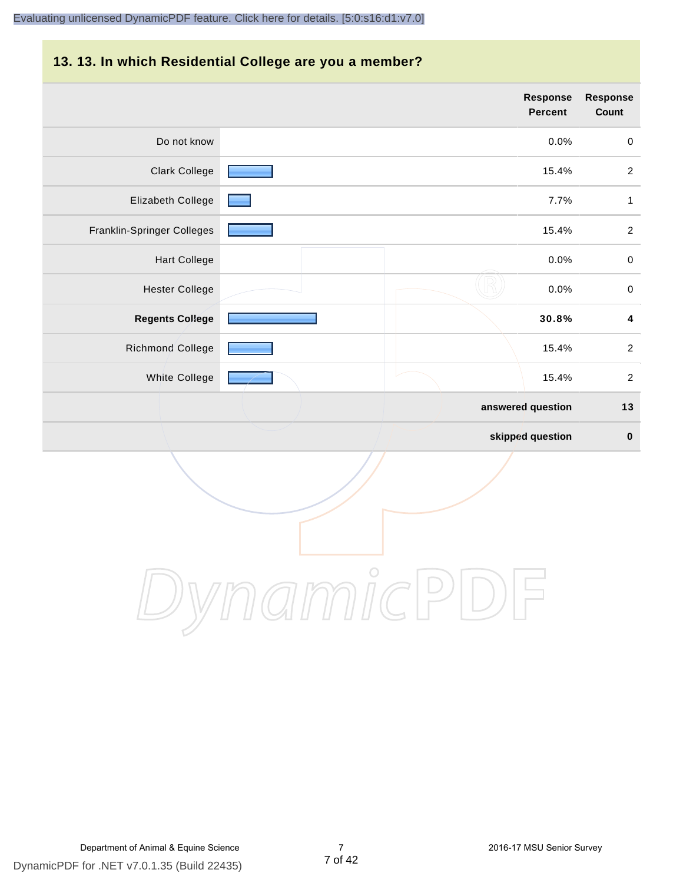#### **13. 13. In which Residential College are you a member?**

|                            | <b>Response</b><br>Percent | <b>Response</b><br>Count |
|----------------------------|----------------------------|--------------------------|
| Do not know                | 0.0%                       | $\boldsymbol{0}$         |
| <b>Clark College</b>       | 15.4%                      | $\overline{2}$           |
| Elizabeth College          | 7.7%                       | $\mathbf{1}$             |
| Franklin-Springer Colleges | 15.4%                      | $\overline{2}$           |
| <b>Hart College</b>        | 0.0%                       | $\pmb{0}$                |
| <b>Hester College</b>      | 0.0%                       | $\mathbf 0$              |
| <b>Regents College</b>     | 30.8%                      | $\pmb{4}$                |
| Richmond College           | 15.4%                      | $\boldsymbol{2}$         |
| White College              | 15.4%                      | $\sqrt{2}$               |
|                            | answered question          | $13$                     |
|                            | skipped question           | $\pmb{0}$                |

DynamicPDF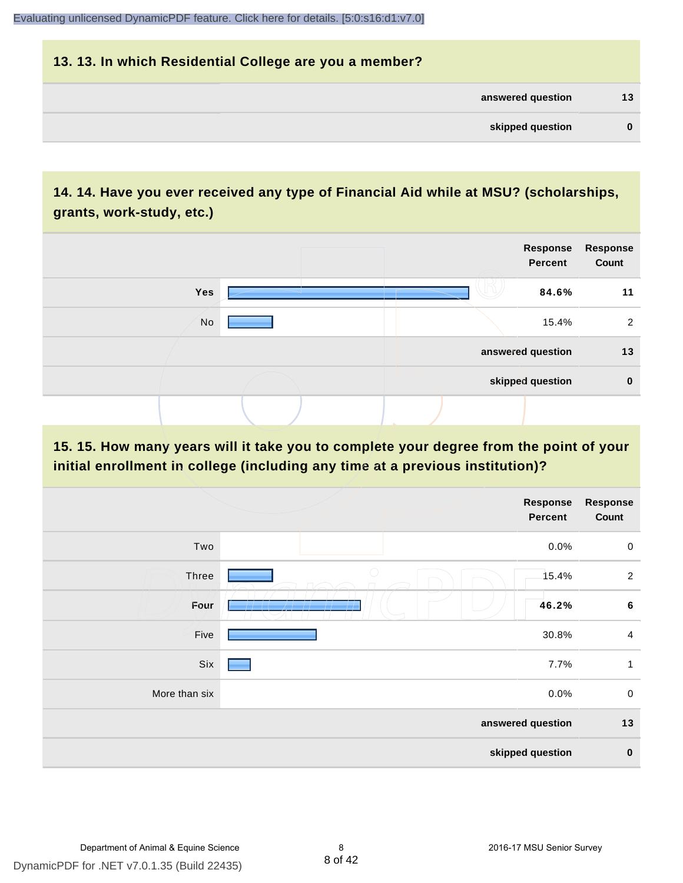# **13. 13. In which Residential College are you a member? answered question 13 skipped question 0**

# **14. 14. Have you ever received any type of Financial Aid while at MSU? (scholarships, grants, work-study, etc.)**



### **15. 15. How many years will it take you to complete your degree from the point of your initial enrollment in college (including any time at a previous institution)?**

|               |            | <b>Response</b><br>Percent | Response<br>Count |
|---------------|------------|----------------------------|-------------------|
| Two           |            | 0.0%                       | $\mathbf 0$       |
| <b>Three</b>  | $\bigcirc$ | 15.4%                      | $\overline{2}$    |
| Four          |            | 46.2%                      | $\bf 6$           |
| Five          |            | 30.8%                      | $\overline{4}$    |
| Six           |            | 7.7%                       | $\mathbf{1}$      |
| More than six |            | 0.0%                       | $\mathsf 0$       |
|               |            | answered question          | 13                |
|               |            | skipped question           | $\pmb{0}$         |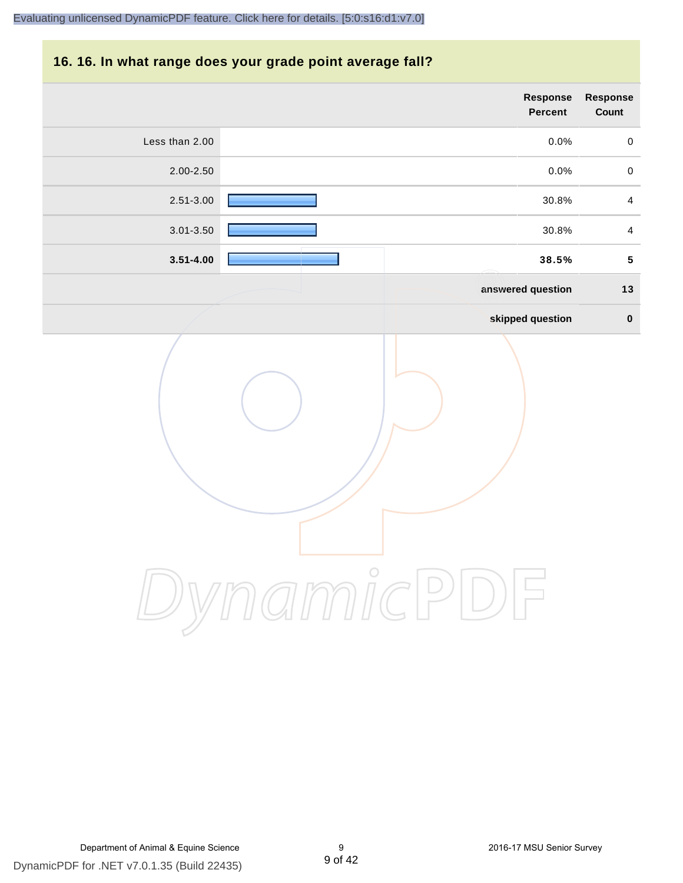#### **16. 16. In what range does your grade point average fall?**

|                | Response<br>Percent | Response<br>Count       |
|----------------|---------------------|-------------------------|
| Less than 2.00 | 0.0%                | $\pmb{0}$               |
| 2.00-2.50      | 0.0%                | $\pmb{0}$               |
| $2.51 - 3.00$  | 30.8%               | $\overline{\mathbf{4}}$ |
| 3.01-3.50      | 30.8%               | $\overline{4}$          |
| $3.51 - 4.00$  | 38.5%               | ${\bf 5}$               |
|                | answered question   | $13$                    |
|                | skipped question    | $\pmb{0}$               |
|                | $\bigcirc$          |                         |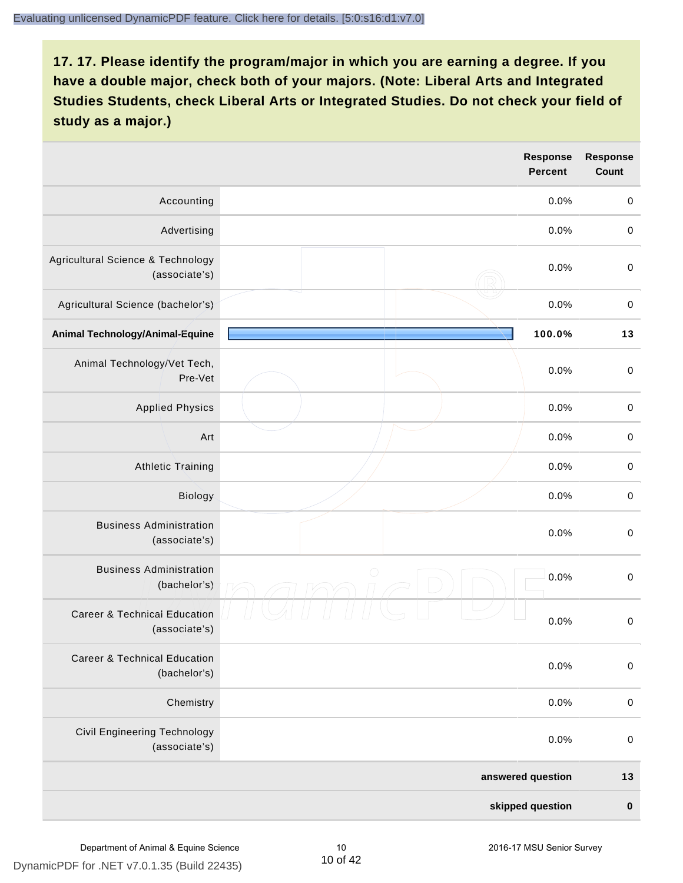|                                                          | Response<br><b>Percent</b> | <b>Response</b><br><b>Count</b> |
|----------------------------------------------------------|----------------------------|---------------------------------|
| Accounting                                               | 0.0%                       | $\boldsymbol{0}$                |
| Advertising                                              | 0.0%                       | $\boldsymbol{0}$                |
| Agricultural Science & Technology<br>(associate's)       | 0.0%                       | $\pmb{0}$                       |
| Agricultural Science (bachelor's)                        | 0.0%                       | $\boldsymbol{0}$                |
| Animal Technology/Animal-Equine                          | 100.0%                     | 13                              |
| Animal Technology/Vet Tech,<br>Pre-Vet                   | 0.0%                       | $\mathbf 0$                     |
| <b>Applied Physics</b>                                   | 0.0%                       | $\mathbf 0$                     |
| Art                                                      | 0.0%                       | $\mathbf 0$                     |
| <b>Athletic Training</b>                                 | 0.0%                       | $\pmb{0}$                       |
| Biology                                                  | 0.0%                       | $\pmb{0}$                       |
| <b>Business Administration</b><br>(associate's)          | 0.0%                       | $\pmb{0}$                       |
| <b>Business Administration</b><br>(bachelor's)           | $\bigcirc$<br>0.0%         | $\boldsymbol{0}$                |
| <b>Career &amp; Technical Education</b><br>(associate's) | 0.0%                       | $\mathbf 0$                     |
| <b>Career &amp; Technical Education</b><br>(bachelor's)  | 0.0%                       | $\boldsymbol{0}$                |
| Chemistry                                                | 0.0%                       | $\boldsymbol{0}$                |
| Civil Engineering Technology<br>(associate's)            | 0.0%                       | $\boldsymbol{0}$                |
|                                                          | answered question          | 13                              |
|                                                          | skipped question           | $\pmb{0}$                       |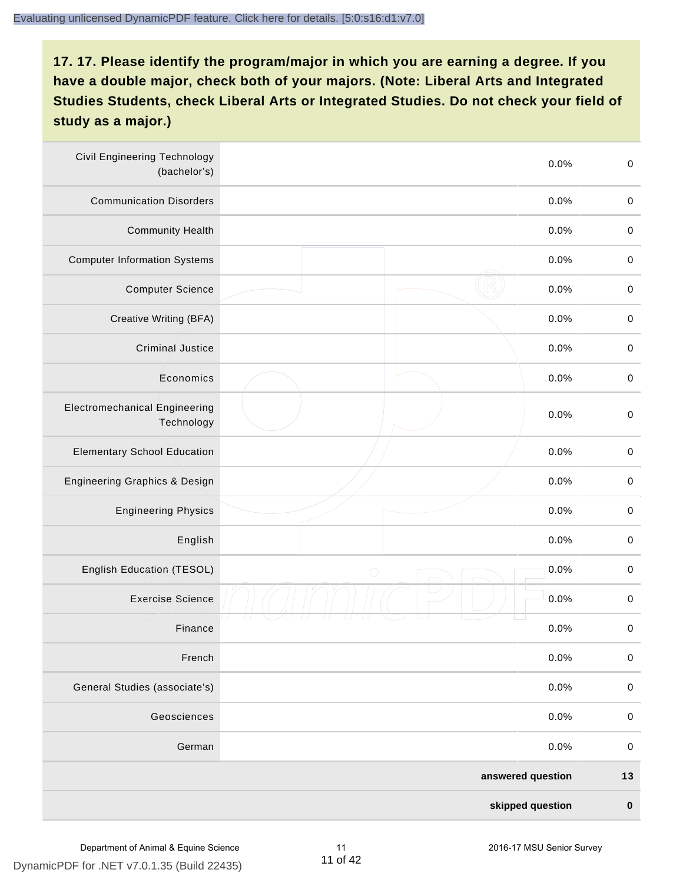| <b>Civil Engineering Technology</b><br>(bachelor's) |            | 0.0%              | $\mathbf 0$ |
|-----------------------------------------------------|------------|-------------------|-------------|
| <b>Communication Disorders</b>                      |            | 0.0%              | $\mathbf 0$ |
| <b>Community Health</b>                             |            | 0.0%              | $\,0\,$     |
| <b>Computer Information Systems</b>                 |            | 0.0%              | $\,0\,$     |
| <b>Computer Science</b>                             |            | 0.0%              | $\mathbf 0$ |
| Creative Writing (BFA)                              |            | 0.0%              | $\mathbf 0$ |
| <b>Criminal Justice</b>                             |            | 0.0%              | $\mathbf 0$ |
| Economics                                           |            | 0.0%              | $\,0\,$     |
| <b>Electromechanical Engineering</b><br>Technology  |            | 0.0%              | $\pmb{0}$   |
| <b>Elementary School Education</b>                  |            | 0.0%              | $\mathbf 0$ |
| <b>Engineering Graphics &amp; Design</b>            |            | 0.0%              | $\pmb{0}$   |
| <b>Engineering Physics</b>                          |            | 0.0%              | $\pmb{0}$   |
| English                                             |            | 0.0%              | $\pmb{0}$   |
| English Education (TESOL)                           | $\bigcirc$ | 0.0%              | $\mathbf 0$ |
| <b>Exercise Science</b>                             |            | 0.0%              | $\pmb{0}$   |
| Finance                                             |            | 0.0%              | $\,0\,$     |
| French                                              |            | 0.0%              | $\pmb{0}$   |
| General Studies (associate's)                       |            | 0.0%              | $\mathbf 0$ |
| Geosciences                                         |            | 0.0%              | $\mathbf 0$ |
| German                                              |            | 0.0%              | $\mathbf 0$ |
|                                                     |            | answered question | $13$        |
|                                                     |            | skipped question  | $\pmb{0}$   |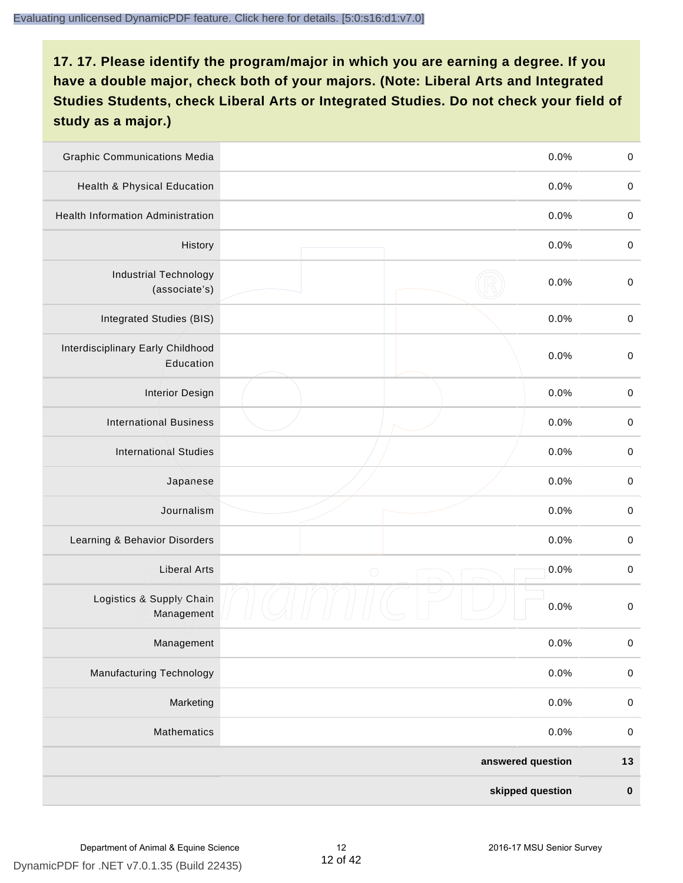| <b>Graphic Communications Media</b>            |            | 0.0%              | $\,0\,$     |
|------------------------------------------------|------------|-------------------|-------------|
| Health & Physical Education                    |            | 0.0%              | $\mathbf 0$ |
| <b>Health Information Administration</b>       |            | 0.0%              | $\mathbf 0$ |
| History                                        |            | 0.0%              | $\pmb{0}$   |
| <b>Industrial Technology</b><br>(associate's)  |            | 0.0%              | $\mathbf 0$ |
| Integrated Studies (BIS)                       |            | 0.0%              | $\mathbf 0$ |
| Interdisciplinary Early Childhood<br>Education |            | 0.0%              | $\mathbf 0$ |
| <b>Interior Design</b>                         |            | 0.0%              | $\pmb{0}$   |
| <b>International Business</b>                  |            | 0.0%              | $\mathbf 0$ |
| <b>International Studies</b>                   |            | 0.0%              | $\,0\,$     |
| Japanese                                       |            | 0.0%              | $\pmb{0}$   |
| Journalism                                     |            | 0.0%              | $\pmb{0}$   |
| Learning & Behavior Disorders                  |            | 0.0%              | $\pmb{0}$   |
| <b>Liberal Arts</b>                            | $\bigcirc$ | 0.0%              | $\mathbf 0$ |
| Logistics & Supply Chain<br>Management         |            | 0.0%              | $\pmb{0}$   |
| Management                                     |            | 0.0%              | $\pmb{0}$   |
| <b>Manufacturing Technology</b>                |            | 0.0%              | $\pmb{0}$   |
| Marketing                                      |            | 0.0%              | $\mathbf 0$ |
| Mathematics                                    |            | 0.0%              | $\,0\,$     |
|                                                |            | answered question | $13$        |
|                                                |            | skipped question  | $\pmb{0}$   |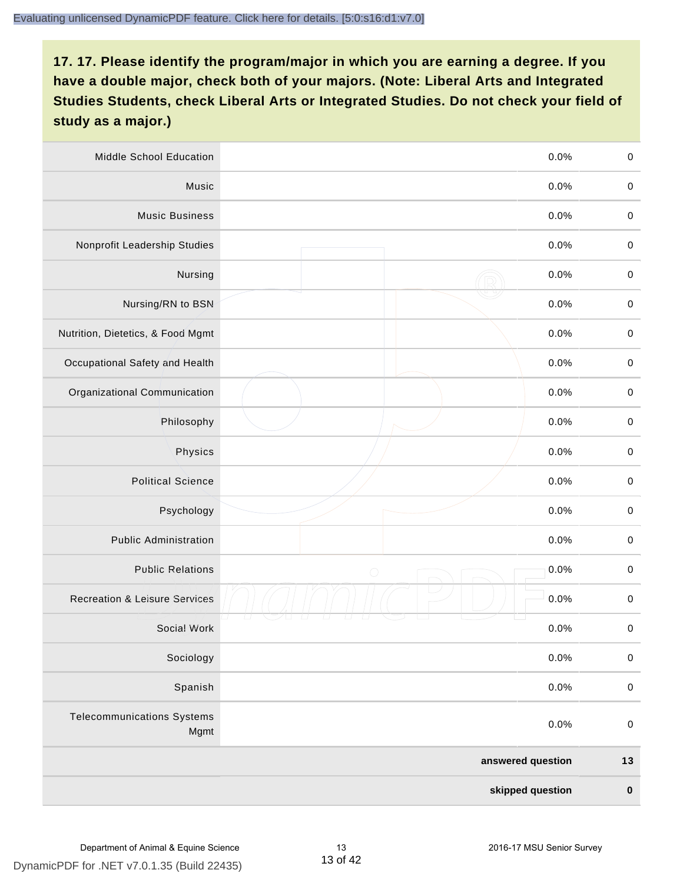| Middle School Education                   |                   | 0.0%             | $\,0\,$     |
|-------------------------------------------|-------------------|------------------|-------------|
| Music                                     |                   | 0.0%             | $\mathbf 0$ |
| <b>Music Business</b>                     |                   | 0.0%             | $\mathbf 0$ |
| Nonprofit Leadership Studies              |                   | 0.0%             | $\pmb{0}$   |
| Nursing                                   |                   | 0.0%             | $\pmb{0}$   |
| Nursing/RN to BSN                         |                   | 0.0%             | $\,0\,$     |
| Nutrition, Dietetics, & Food Mgmt         |                   | 0.0%             | $\pmb{0}$   |
| Occupational Safety and Health            |                   | 0.0%             | $\mathbf 0$ |
| Organizational Communication              |                   | 0.0%             | $\pmb{0}$   |
| Philosophy                                |                   | 0.0%             | $\pmb{0}$   |
| Physics                                   |                   | 0.0%             | $\,0\,$     |
| <b>Political Science</b>                  |                   | 0.0%             | $\mathbf 0$ |
| Psychology                                |                   | 0.0%             | $\pmb{0}$   |
| <b>Public Administration</b>              |                   | 0.0%             | $\pmb{0}$   |
| <b>Public Relations</b>                   | $\bigcirc$        | 0.0%             | $\pmb{0}$   |
| <b>Recreation &amp; Leisure Services</b>  |                   | 0.0%             | $\pmb{0}$   |
| Social Work                               |                   | 0.0%             | $\pmb{0}$   |
| Sociology                                 |                   | 0.0%             | $\mathbf 0$ |
| Spanish                                   |                   | 0.0%             | $\pmb{0}$   |
| <b>Telecommunications Systems</b><br>Mgmt |                   | 0.0%             | $\mathbf 0$ |
|                                           | answered question |                  | $13$        |
|                                           |                   | skipped question | $\pmb{0}$   |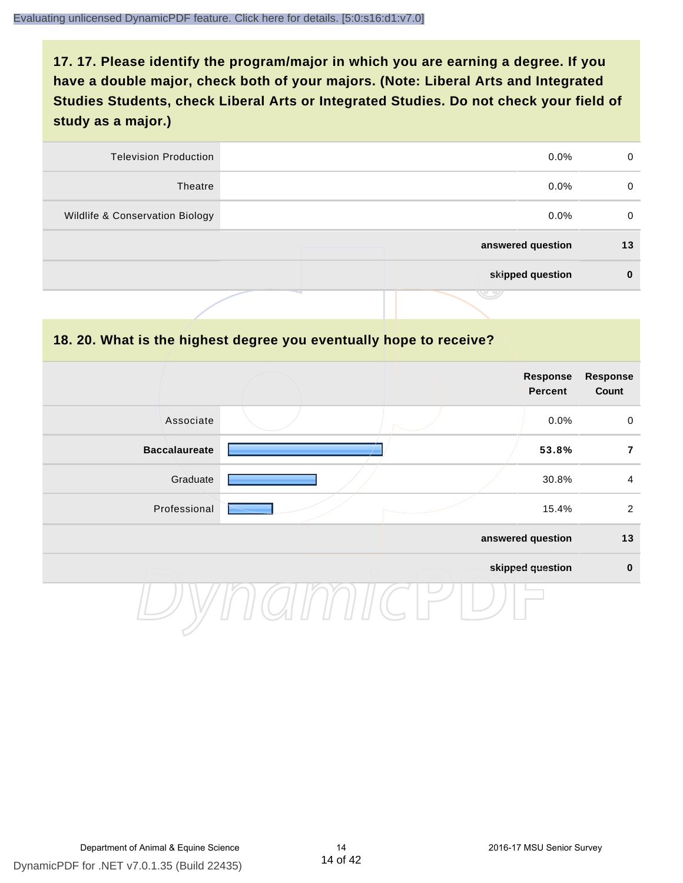| <b>Television Production</b>    | $0.0\%$           | 0  |
|---------------------------------|-------------------|----|
| Theatre                         | $0.0\%$           | 0  |
| Wildlife & Conservation Biology | $0.0\%$           | 0  |
|                                 | answered question | 13 |
|                                 | skipped question  | 0  |
|                                 | . .               |    |

#### **18. 20. What is the highest degree you eventually hope to receive?**

|                      |  | Response<br>Percent | <b>Response</b><br>Count |
|----------------------|--|---------------------|--------------------------|
| Associate            |  | 0.0%                | $\mathbf 0$              |
| <b>Baccalaureate</b> |  | 53.8%               | $\overline{7}$           |
| Graduate             |  | 30.8%               | $\overline{4}$           |
| Professional         |  | 15.4%               | $\overline{2}$           |
|                      |  | answered question   | 13                       |
|                      |  | skipped question    | $\pmb{0}$                |
|                      |  |                     |                          |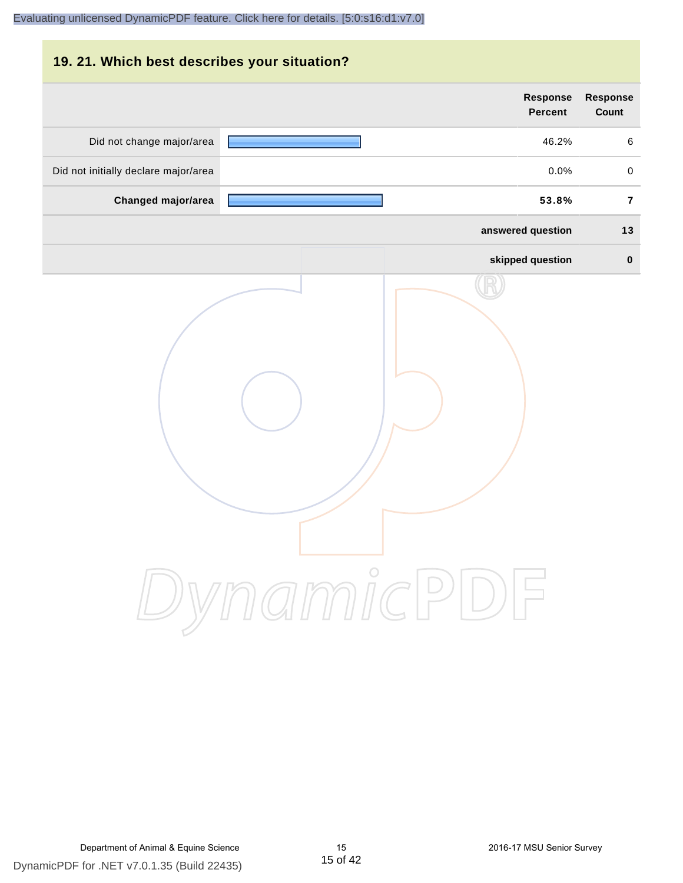# **19. 21. Which best describes your situation? Response Response Percent Count** Did not change major/area 46.2% 6 Did not initially declare major/area  $0.0\%$  0.0% 0.0% **Changed major/area 53.8% 7 answered question 13 skipped question 0** DynamicPDF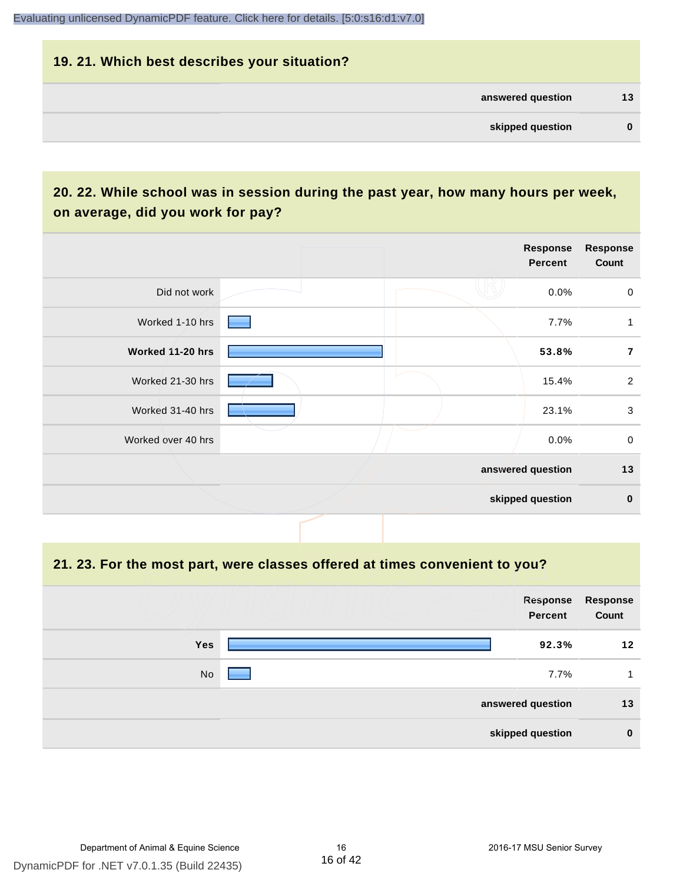# **19. 21. Which best describes your situation? answered question 13 skipped question 0**

# **20. 22. While school was in session during the past year, how many hours per week, on average, did you work for pay?**

|                    |  | Response<br><b>Percent</b> | <b>Response</b><br>Count |
|--------------------|--|----------------------------|--------------------------|
| Did not work       |  | 0.0%                       | $\mathbf 0$              |
| Worked 1-10 hrs    |  | 7.7%                       | 1                        |
| Worked 11-20 hrs   |  | 53.8%                      | $\overline{7}$           |
| Worked 21-30 hrs   |  | 15.4%                      | $\overline{2}$           |
| Worked 31-40 hrs   |  | 23.1%                      | 3                        |
| Worked over 40 hrs |  | 0.0%                       | $\mathbf 0$              |
|                    |  | answered question          | 13                       |
|                    |  | skipped question           | $\pmb{0}$                |

**21. 23. For the most part, were classes offered at times convenient to you?**

|            | Response<br>Percent | <b>Response</b><br>Count |
|------------|---------------------|--------------------------|
| <b>Yes</b> | 92.3%               | 12                       |
| No         | 7.7%                |                          |
|            | answered question   | 13                       |
|            | skipped question    | $\bf{0}$                 |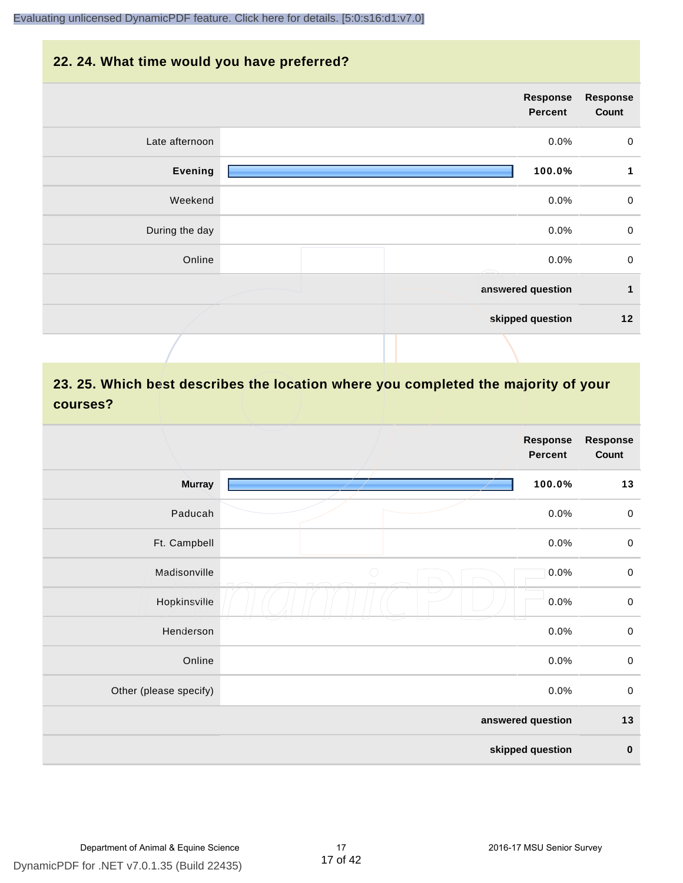#### **22. 24. What time would you have preferred?**



# **23. 25. Which best describes the location where you completed the majority of your courses?**

|                        |            | <b>Response</b><br><b>Percent</b> | <b>Response</b><br>Count |
|------------------------|------------|-----------------------------------|--------------------------|
| <b>Murray</b>          |            | 100.0%                            | 13                       |
| Paducah                |            | 0.0%                              | $\pmb{0}$                |
| Ft. Campbell           |            | 0.0%                              | $\mathbf 0$              |
| Madisonville           | $\bigcirc$ | 0.0%                              | $\mathbf 0$              |
| Hopkinsville           |            | 0.0%                              | $\pmb{0}$                |
| Henderson              |            | 0.0%                              | $\pmb{0}$                |
| Online                 |            | 0.0%                              | $\,0\,$                  |
| Other (please specify) |            | 0.0%                              | $\mathsf 0$              |
|                        |            | answered question                 | $13$                     |
|                        |            | skipped question                  | $\pmb{0}$                |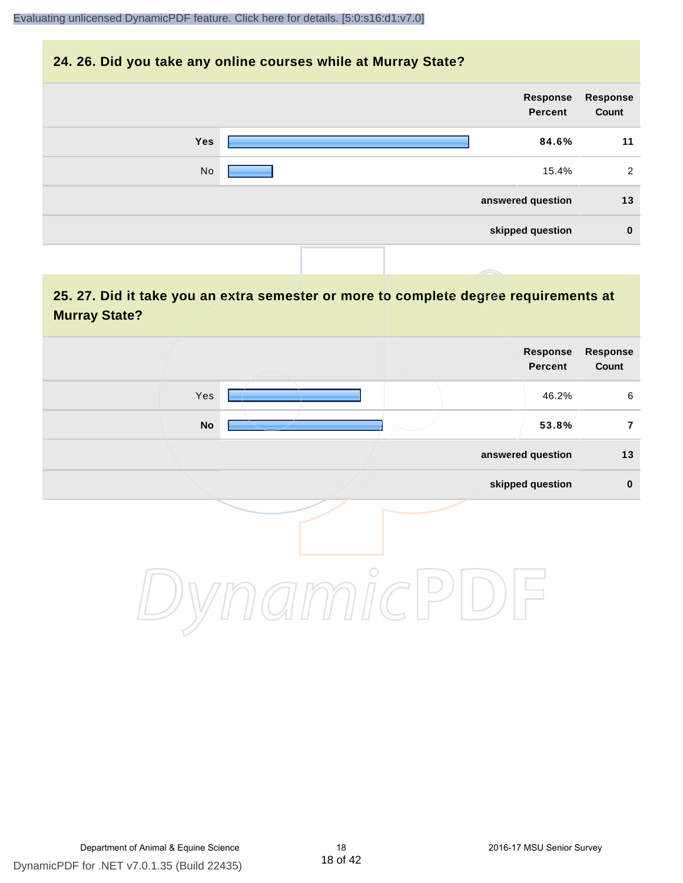#### **24. 26. Did you take any online courses while at Murray State?**

| Response<br>Count | Response<br>Percent |  |     |
|-------------------|---------------------|--|-----|
| 11                | 84.6%               |  | Yes |
| 2                 | 15.4%               |  | No  |
| 13                | answered question   |  |     |
| $\mathbf 0$       | skipped question    |  |     |
|                   |                     |  |     |

# **25. 27. Did it take you an extra semester or more to complete degree requirements at Murray State?**

| Response<br>Count | Response<br>Percent |         |     |  |
|-------------------|---------------------|---------|-----|--|
| 6                 | 46.2%               |         | Yes |  |
| $\overline{7}$    | 53.8%               |         | No  |  |
| 13                | answered question   |         |     |  |
| $\pmb{0}$         | skipped question    |         |     |  |
|                   |                     | $\circ$ |     |  |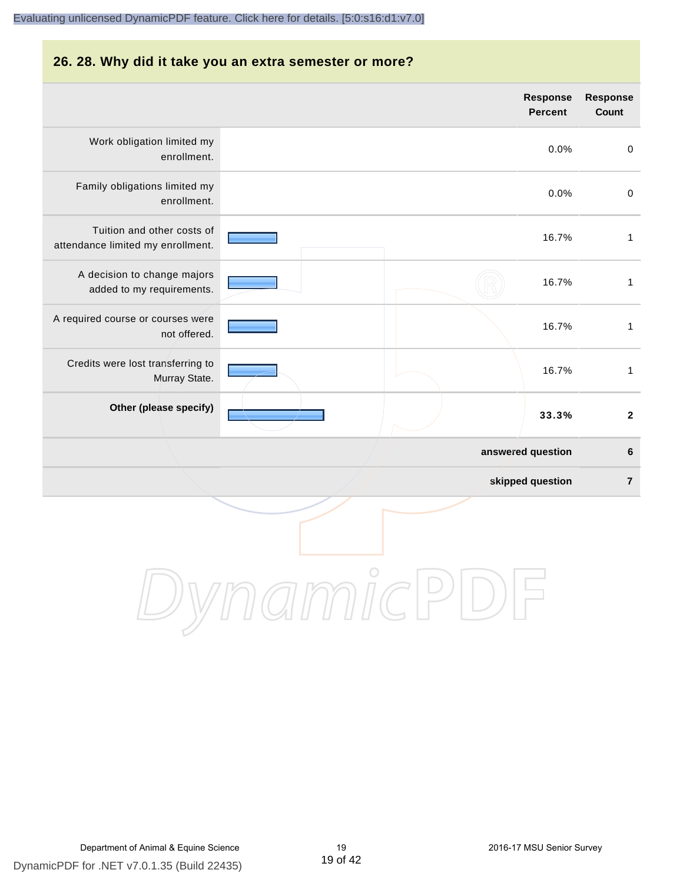#### **26. 28. Why did it take you an extra semester or more? answered question 6 skipped question 7 Response Percent Response Count** Work obligation limited my enrollment. 0.0% 0 Family obligations limited my enrollment. 0.0% 0 Tuition and other costs of attendance limited my enrollment. 16.7% 1 A decision to change majors added to my requirements. 16.7% 1 A required course or courses were not offered. 16.7% 1 Credits were lost transferring to Murray State. 16.7% 1 **Other (please specify) 33.3% 2** [Evaluating unlicensed DynamicPDF feature. Click here for details. \[5:0:s16:d1:v7.0\]](http://www.DynamicPDF.com/dplic/?d=T(EuYmIrxFe0nIre)

DynamicPDF for .NET v7.0.1.35 (Build 22435) Department of Animal & Equine Science 19 19 19 2016-17 MSU Senior Survey

DynamicPDF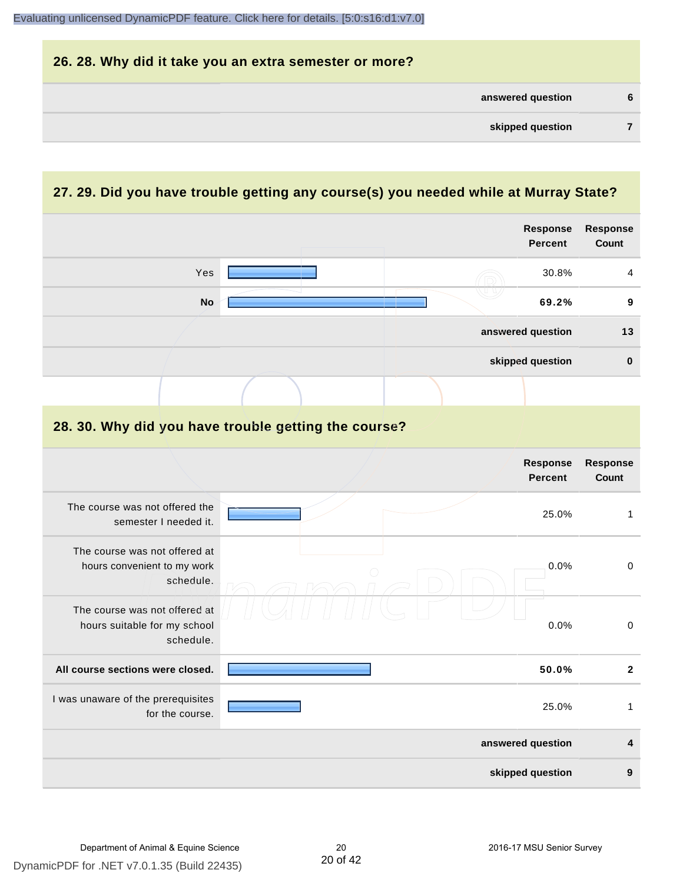| 26. 28. Why did it take you an extra semester or more? |   |
|--------------------------------------------------------|---|
| answered question                                      | 6 |
| skipped question                                       |   |

# **27. 29. Did you have trouble getting any course(s) you needed while at Murray State?**

|                                                                            |                                                      | <b>Response</b><br><b>Percent</b> | Response<br>Count       |
|----------------------------------------------------------------------------|------------------------------------------------------|-----------------------------------|-------------------------|
| Yes                                                                        |                                                      | 30.8%                             | 4                       |
| <b>No</b>                                                                  |                                                      | 69.2%                             | 9                       |
|                                                                            |                                                      | answered question                 | 13                      |
|                                                                            |                                                      | skipped question                  | $\pmb{0}$               |
|                                                                            |                                                      |                                   |                         |
|                                                                            | 28. 30. Why did you have trouble getting the course? |                                   |                         |
|                                                                            |                                                      | Response<br><b>Percent</b>        | Response<br>Count       |
| The course was not offered the<br>semester I needed it.                    |                                                      | 25.0%                             | $\mathbf{1}$            |
| The course was not offered at<br>hours convenient to my work<br>schedule.  |                                                      | 0.0%                              | $\pmb{0}$               |
| The course was not offered at<br>hours suitable for my school<br>schedule. |                                                      | 0.0%                              | $\pmb{0}$               |
| All course sections were closed.                                           |                                                      | 50.0%                             | $\mathbf{2}$            |
| I was unaware of the prerequisites<br>for the course.                      |                                                      | 25.0%                             | $\mathbf{1}$            |
|                                                                            |                                                      | answered question                 | $\overline{\mathbf{4}}$ |
|                                                                            |                                                      | skipped question                  | 9                       |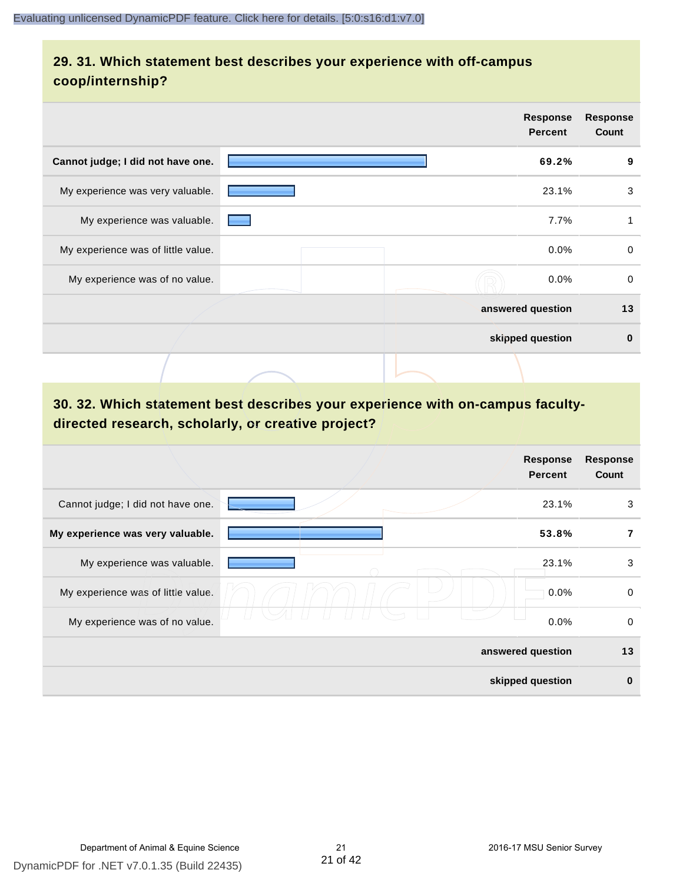# **29. 31. Which statement best describes your experience with off-campus coop/internship?**

|                                    | <b>Response</b><br><b>Percent</b> | <b>Response</b><br>Count |
|------------------------------------|-----------------------------------|--------------------------|
| Cannot judge; I did not have one.  | 69.2%                             | 9                        |
| My experience was very valuable.   | 23.1%                             | 3                        |
| My experience was valuable.        | 7.7%                              | 1                        |
| My experience was of little value. | $0.0\%$                           | $\mathbf 0$              |
| My experience was of no value.     | $0.0\%$                           | $\mathbf 0$              |
|                                    | answered question                 | 13                       |
|                                    | skipped question                  | $\bf{0}$                 |
|                                    |                                   |                          |

# **30. 32. Which statement best describes your experience with on-campus facultydirected research, scholarly, or creative project?**

|                                    | <b>Response</b><br><b>Percent</b> | <b>Response</b><br>Count |
|------------------------------------|-----------------------------------|--------------------------|
| Cannot judge; I did not have one.  | 23.1%                             | 3                        |
| My experience was very valuable.   | 53.8%                             | 7                        |
| My experience was valuable.        | 23.1%                             | 3                        |
| My experience was of little value. | 0.0%                              | $\mathbf 0$              |
| My experience was of no value.     | 0.0%                              | $\mathbf 0$              |
|                                    | answered question                 | 13                       |
|                                    | skipped question                  | $\bf{0}$                 |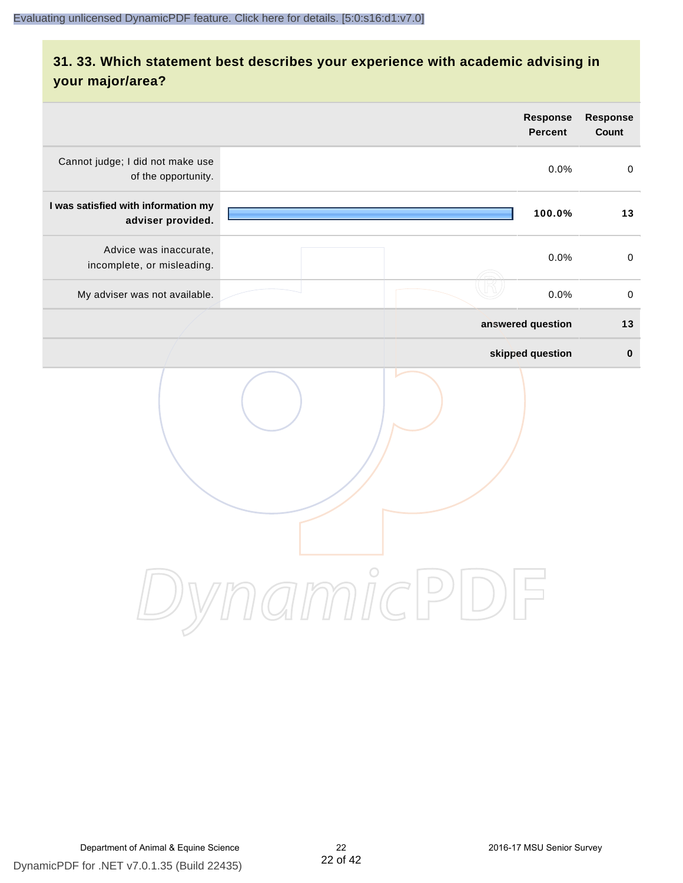# **31. 33. Which statement best describes your experience with academic advising in your major/area?**

|                                                                      | <b>Response</b><br>Percent | <b>Response</b><br>Count |
|----------------------------------------------------------------------|----------------------------|--------------------------|
| Cannot judge; I did not make use<br>of the opportunity.              | 0.0%                       | $\pmb{0}$                |
| I was satisfied with information my<br>adviser provided.             | 100.0%                     | 13                       |
| Advice was inaccurate,<br>incomplete, or misleading.                 | 0.0%                       | $\mathbf 0$              |
| My adviser was not available.                                        | 0.0%                       | $\pmb{0}$                |
|                                                                      | answered question          | $13$                     |
|                                                                      | skipped question           | $\mathbf 0$              |
| $\bigcirc$<br>$\mathcal{I}\text{mmIC}$<br>$(\quad)$<br>$\frac{1}{2}$ |                            |                          |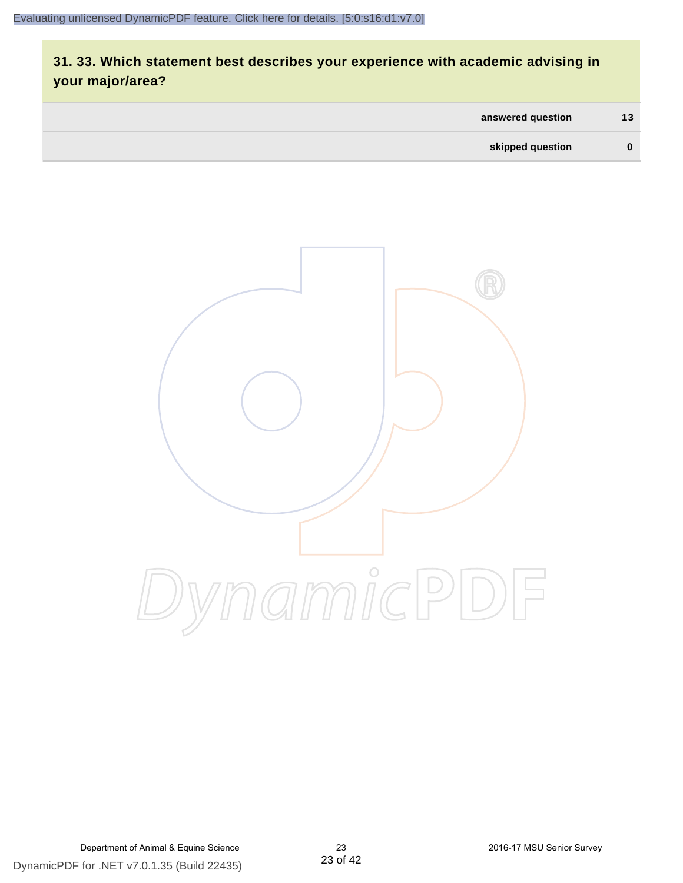# **31. 33. Which statement best describes your experience with academic advising in your major/area?**

| answered question | 13       |
|-------------------|----------|
| skipped question  | $\bf{0}$ |

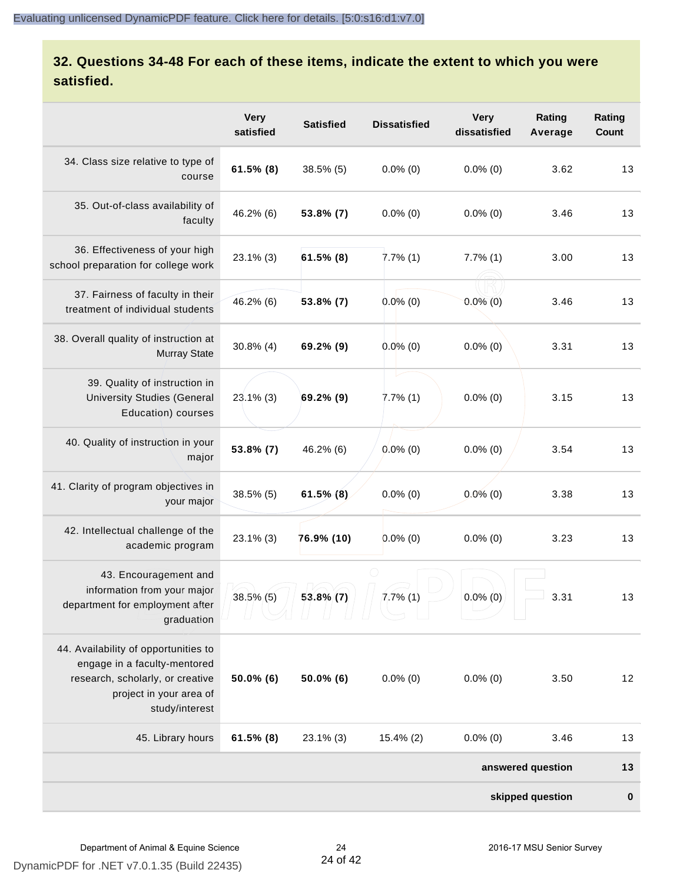# **32. Questions 34-48 For each of these items, indicate the extent to which you were satisfied.**

|                                                                                                                                                       | <b>Very</b><br>satisfied | <b>Satisfied</b> | <b>Dissatisfied</b> | <b>Very</b><br>dissatisfied | Rating<br>Average | Rating<br>Count |  |  |
|-------------------------------------------------------------------------------------------------------------------------------------------------------|--------------------------|------------------|---------------------|-----------------------------|-------------------|-----------------|--|--|
| 34. Class size relative to type of<br>course                                                                                                          | $61.5\%$ (8)             | 38.5% (5)        | $0.0\%$ (0)         | $0.0\%$ (0)                 | 3.62              | 13              |  |  |
| 35. Out-of-class availability of<br>faculty                                                                                                           | 46.2% (6)                | 53.8% (7)        | $0.0\%$ (0)         | $0.0\%$ (0)                 | 3.46              | 13              |  |  |
| 36. Effectiveness of your high<br>school preparation for college work                                                                                 | $23.1\%$ (3)             | $61.5\%$ (8)     | $7.7\%$ (1)         | $7.7\%$ (1)                 | 3.00              | 13              |  |  |
| 37. Fairness of faculty in their<br>treatment of individual students                                                                                  | 46.2% (6)                | 53.8% (7)        | $0.0\%$ (0)         | $0.0\%$ (0)                 | 3.46              | 13              |  |  |
| 38. Overall quality of instruction at<br><b>Murray State</b>                                                                                          | $30.8\%$ (4)             | 69.2% (9)        | $0.0\%$ (0)         | $0.0\%$ (0)                 | 3.31              | 13              |  |  |
| 39. Quality of instruction in<br><b>University Studies (General</b><br>Education) courses                                                             | $23.1\%$ (3)             | 69.2% (9)        | $7.7\%$ (1)         | $0.0\%$ (0)                 | 3.15              | 13              |  |  |
| 40. Quality of instruction in your<br>major                                                                                                           | 53.8% (7)                | 46.2% (6)        | $0.0\%$ (0)         | $0.0\%$ (0)                 | 3.54              | 13              |  |  |
| 41. Clarity of program objectives in<br>your major                                                                                                    | 38.5% (5)                | $61.5\%$ (8)     | $0.0\%$ (0)         | $0.0\%$ (0)                 | 3.38              | 13              |  |  |
| 42. Intellectual challenge of the<br>academic program                                                                                                 | $23.1\%$ (3)             | 76.9% (10)       | $0.0\%$ (0)         | $0.0\%$ (0)                 | 3.23              | 13              |  |  |
| 43. Encouragement and<br>information from your major<br>department for employment after<br>graduation                                                 | $38.5\%$ (5)             | $53.8\%$ (7)     | 7.7%(1)             | $0.0\%$ (0)                 | 3.31              | 13              |  |  |
| 44. Availability of opportunities to<br>engage in a faculty-mentored<br>research, scholarly, or creative<br>project in your area of<br>study/interest | $50.0\%$ (6)             | 50.0% (6)        | $0.0\%$ (0)         | $0.0\%$ (0)                 | 3.50              | 12              |  |  |
| 45. Library hours                                                                                                                                     | $61.5\%$ (8)             | 23.1% (3)        | $15.4\%$ (2)        | $0.0\%$ (0)                 | 3.46              | 13              |  |  |
| answered question                                                                                                                                     |                          |                  |                     |                             |                   |                 |  |  |
| skipped question                                                                                                                                      |                          |                  |                     |                             |                   |                 |  |  |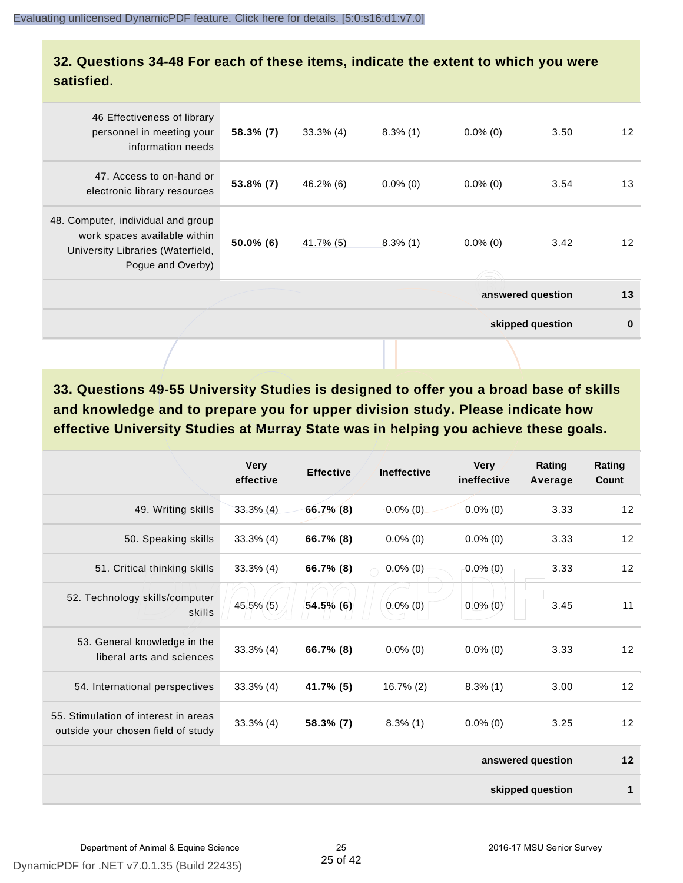#### **32. Questions 34-48 For each of these items, indicate the extent to which you were satisfied.**

| 46 Effectiveness of library<br>personnel in meeting your<br>information needs                                                | $58.3\%$ (7) | $33.3\%$ (4) | $8.3\%$ (1) | $0.0\%$ (0)       | 3.50     | $12 \overline{ }$ |
|------------------------------------------------------------------------------------------------------------------------------|--------------|--------------|-------------|-------------------|----------|-------------------|
| 47. Access to on-hand or<br>electronic library resources                                                                     | $53.8\%$ (7) | $46.2\%$ (6) | $0.0\%$ (0) | $0.0\%$ (0)       | 3.54     | 13                |
| 48. Computer, individual and group<br>work spaces available within<br>University Libraries (Waterfield,<br>Pogue and Overby) | $50.0\%$ (6) | $41.7\%$ (5) | $8.3\%$ (1) | $0.0\%$ (0)       | 3.42     | $12 \overline{ }$ |
|                                                                                                                              |              |              |             | answered question | 13       |                   |
|                                                                                                                              |              |              |             | skipped question  | $\bf{0}$ |                   |
|                                                                                                                              |              |              |             |                   |          |                   |

**33. Questions 49-55 University Studies is designed to offer you a broad base of skills and knowledge and to prepare you for upper division study. Please indicate how effective University Studies at Murray State was in helping you achieve these goals.**

|                                                                            | <b>Very</b><br>effective | <b>Effective</b> | <b>Ineffective</b> | <b>Very</b><br>ineffective | Rating<br>Average | Rating<br>Count |
|----------------------------------------------------------------------------|--------------------------|------------------|--------------------|----------------------------|-------------------|-----------------|
| 49. Writing skills                                                         | $33.3\%$ (4)             | $66.7\%$ (8)     | $0.0\%$ (0)        | $0.0\%$ (0)                | 3.33              | 12              |
| 50. Speaking skills                                                        | $33.3\%$ (4)             | 66.7% (8)        | $0.0\%$ (0)        | $0.0\%$ (0)                | 3.33              | 12              |
| 51. Critical thinking skills                                               | $33.3\%$ (4)             | 66.7% (8)        | $0.0\%$ (0)        | $0.0\%$ (0)                | 3.33              | 12              |
| 52. Technology skills/computer<br>skills                                   | 45.5% (5)                | 54.5% (6)        | $0.0\%$ (0)        | $0.0\%$ (0)                | 3.45              | 11              |
| 53. General knowledge in the<br>liberal arts and sciences                  | $33.3\%$ (4)             | 66.7% (8)        | $0.0\%$ (0)        | $0.0\%$ (0)                | 3.33              | 12              |
| 54. International perspectives                                             | $33.3\%$ (4)             | 41.7% (5)        | $16.7\%$ (2)       | $8.3\%$ (1)                | 3.00              | 12              |
| 55. Stimulation of interest in areas<br>outside your chosen field of study | $33.3\%$ (4)             | 58.3% (7)        | $8.3\%$ (1)        | $0.0\%$ (0)                | 3.25              | 12              |
|                                                                            |                          |                  |                    |                            | answered question | 12              |
| skipped question                                                           |                          |                  |                    |                            |                   |                 |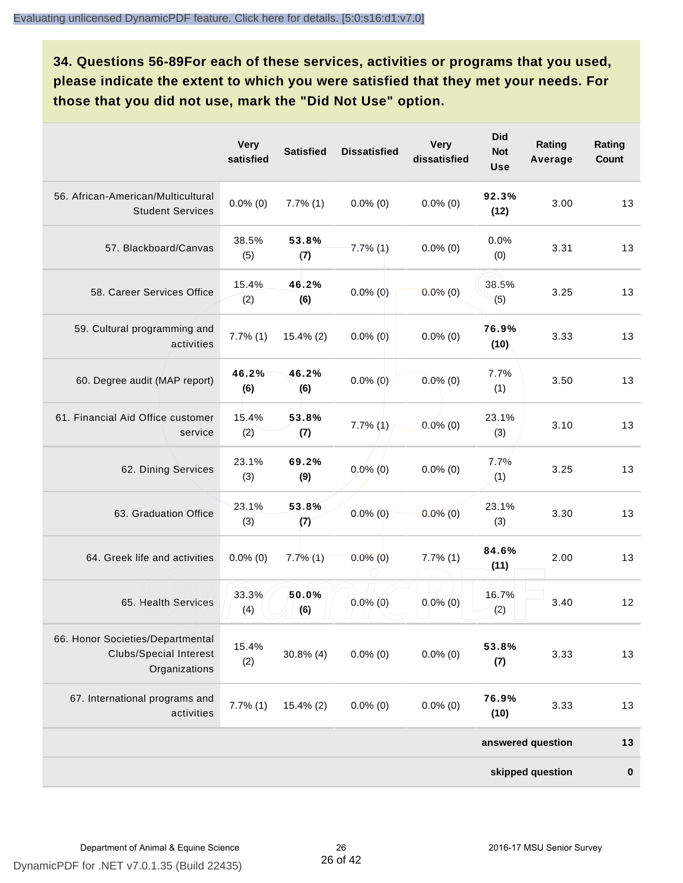**34. Questions 56-89For each of these services, activities or programs that you used, please indicate the extent to which you were satisfied that they met your needs. For those that you did not use, mark the "Did Not Use" option.**

|                                                                                    | <b>Very</b><br>satisfied | <b>Satisfied</b> | <b>Dissatisfied</b> | <b>Very</b><br>dissatisfied | <b>Did</b><br><b>Not</b><br><b>Use</b> | Rating<br>Average | Rating<br>Count |
|------------------------------------------------------------------------------------|--------------------------|------------------|---------------------|-----------------------------|----------------------------------------|-------------------|-----------------|
| 56. African-American/Multicultural<br><b>Student Services</b>                      | $0.0\%$ (0)              | $7.7\%$ (1)      | $0.0\%$ (0)         | $0.0\%$ (0)                 | 92.3%<br>(12)                          | 3.00              | 13              |
| 57. Blackboard/Canvas                                                              | 38.5%<br>(5)             | 53.8%<br>(7)     | $7.7\%$ (1)         | $0.0\%$ (0)                 | 0.0%<br>(0)                            | 3.31              | 13              |
| 58. Career Services Office                                                         | 15.4%<br>(2)             | 46.2%<br>(6)     | $0.0\%$ (0)         | $0.0\%$ (0)                 | 38.5%<br>(5)                           | 3.25              | 13              |
| 59. Cultural programming and<br>activities                                         | $7.7\%$ (1)              | $15.4\%$ (2)     | $0.0\%$ (0)         | $0.0\%$ (0)                 | 76.9%<br>(10)                          | 3.33              | 13              |
| 60. Degree audit (MAP report)                                                      | 46.2%<br>(6)             | 46.2%<br>(6)     | $0.0\%$ (0)         | $0.0\%$ (0)                 | 7.7%<br>(1)                            | 3.50              | 13              |
| 61. Financial Aid Office customer<br>service                                       | 15.4%<br>(2)             | 53.8%<br>(7)     | $7.7\%$ (1)         | $0.0\%$ (0)                 | 23.1%<br>(3)                           | 3.10              | 13              |
| 62. Dining Services                                                                | 23.1%<br>(3)             | 69.2%<br>(9)     | $0.0\%$ (0)         | $0.0\%$ (0)                 | 7.7%<br>(1)                            | 3.25              | 13              |
| 63. Graduation Office                                                              | 23.1%<br>(3)             | 53.8%<br>(7)     | $0.0\%$ (0)         | $0.0\%$ (0)                 | 23.1%<br>(3)                           | 3.30              | 13              |
| 64. Greek life and activities                                                      | $0.0\%$ (0)              | $7.7\%$ (1)      | $0.0\%$ (0)         | $7.7\%$ (1)                 | 84.6%<br>(11)                          | 2.00              | 13              |
| 65. Health Services                                                                | 33.3%<br>(4)             | 50.0%<br>(6)     | $0.0\%$ (0)         | $0.0\%$ (0)                 | 16.7%<br>(2)                           | 3.40              | 12              |
| 66. Honor Societies/Departmental<br><b>Clubs/Special Interest</b><br>Organizations | 15.4%<br>(2)             | $30.8\%$ (4)     | $0.0\%$ (0)         | $0.0\%$ (0)                 | 53.8%<br>(7)                           | 3.33              | 13              |
| 67. International programs and<br>activities                                       | $7.7\%$ $(1)$            | $15.4\%$ (2)     | $0.0\%$ (0)         | $0.0\%$ (0)                 | 76.9%<br>(10)                          | 3.33              | 13              |
|                                                                                    |                          |                  |                     |                             |                                        | answered question | 13              |
|                                                                                    |                          |                  |                     |                             |                                        | skipped question  | $\bf{0}$        |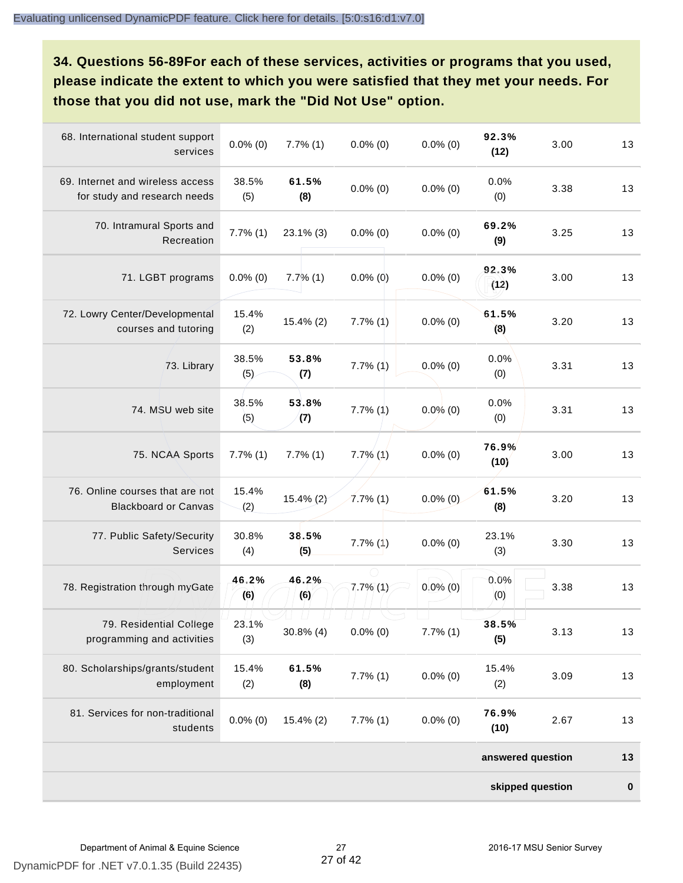**34. Questions 56-89For each of these services, activities or programs that you used, please indicate the extent to which you were satisfied that they met your needs. For those that you did not use, mark the "Did Not Use" option.**

| 68. International student support<br>services                    | $0.0\%$ (0)   | $7.7\%$ $(1)$ | $0.0\%$ (0)   | $0.0\%$ (0) | 92.3%<br>(12)     | 3.00 | 13        |
|------------------------------------------------------------------|---------------|---------------|---------------|-------------|-------------------|------|-----------|
| 69. Internet and wireless access<br>for study and research needs | 38.5%<br>(5)  | 61.5%<br>(8)  | $0.0\%$ (0)   | $0.0\%$ (0) | 0.0%<br>(0)       | 3.38 | 13        |
| 70. Intramural Sports and<br>Recreation                          | $7.7\%$ $(1)$ | $23.1\%$ (3)  | $0.0\%$ (0)   | $0.0\%$ (0) | 69.2%<br>(9)      | 3.25 | 13        |
| 71. LGBT programs                                                | $0.0\%$ (0)   | $7.7\%$ (1)   | $0.0\%$ (0)   | $0.0\%$ (0) | 92.3%<br>(12)     | 3.00 | 13        |
| 72. Lowry Center/Developmental<br>courses and tutoring           | 15.4%<br>(2)  | 15.4% (2)     | $7.7\%$ $(1)$ | $0.0\%$ (0) | 61.5%<br>(8)      | 3.20 | 13        |
| 73. Library                                                      | 38.5%<br>(5)  | 53.8%<br>(7)  | $7.7\%$ $(1)$ | $0.0\%$ (0) | 0.0%<br>(0)       | 3.31 | 13        |
| 74. MSU web site                                                 | 38.5%<br>(5)  | 53.8%<br>(7)  | $7.7\%$ $(1)$ | $0.0\%$ (0) | 0.0%<br>(0)       | 3.31 | 13        |
| 75. NCAA Sports                                                  | $7.7\%$ $(1)$ | $7.7\%$ $(1)$ | $7.7\%$ $(1)$ | $0.0\%$ (0) | 76.9%<br>(10)     | 3.00 | 13        |
| 76. Online courses that are not<br><b>Blackboard or Canvas</b>   | 15.4%<br>(2)  | $15.4\%$ (2)  | $7.7\%$ (1)   | $0.0\%$ (0) | 61.5%<br>(8)      | 3.20 | 13        |
| 77. Public Safety/Security<br><b>Services</b>                    | 30.8%<br>(4)  | 38.5%<br>(5)  | $7.7\%$ $(1)$ | $0.0\%$ (0) | 23.1%<br>(3)      | 3.30 | 13        |
| 78. Registration through myGate                                  | 46.2%<br>(6)  | 46.2%<br>(6)  | $7.7\%$ (1)   | $0.0\%$ (0) | 0.0%<br>(0)       | 3.38 | 13        |
| 79. Residential College<br>programming and activities            | 23.1%<br>(3)  | $30.8\%$ (4)  | $0.0\%$ (0)   | 7.7%(1)     | 38.5%<br>(5)      | 3.13 | 13        |
| 80. Scholarships/grants/student<br>employment                    | 15.4%<br>(2)  | 61.5%<br>(8)  | $7.7\%$ $(1)$ | $0.0\%$ (0) | 15.4%<br>(2)      | 3.09 | 13        |
| 81. Services for non-traditional<br>students                     | $0.0\%$ (0)   | $15.4\%$ (2)  | $7.7\%$ (1)   | $0.0\%$ (0) | 76.9%<br>(10)     | 2.67 | 13        |
|                                                                  |               |               |               |             | answered question |      | 13        |
|                                                                  |               |               |               |             | skipped question  |      | $\pmb{0}$ |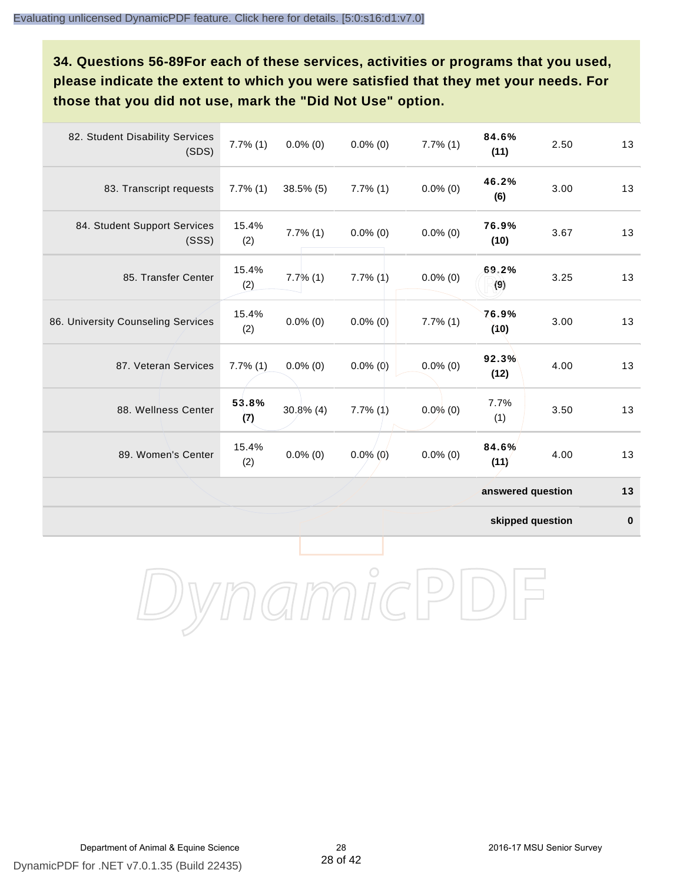**34. Questions 56-89For each of these services, activities or programs that you used, please indicate the extent to which you were satisfied that they met your needs. For those that you did not use, mark the "Did Not Use" option.**

| 82. Student Disability Services<br>(SDS) | $7.7\%$ (1)  | $0.0\%$ (0)  | $0.0\%$ (0)   | $7.7\%$ (1) | 84.6%<br>(11)     | 2.50 | 13 |
|------------------------------------------|--------------|--------------|---------------|-------------|-------------------|------|----|
| 83. Transcript requests                  | $7.7\%$ (1)  | $38.5\%$ (5) | $7.7\%$ $(1)$ | $0.0\%$ (0) | 46.2%<br>(6)      | 3.00 | 13 |
| 84. Student Support Services<br>(SSS)    | 15.4%<br>(2) | $7.7\%$ (1)  | $0.0\%$ (0)   | $0.0\%$ (0) | 76.9%<br>(10)     | 3.67 | 13 |
| 85. Transfer Center                      | 15.4%<br>(2) | $7.7\%$ (1)  | $7.7\%$ $(1)$ | $0.0\%$ (0) | 69.2%<br>(9)      | 3.25 | 13 |
| 86. University Counseling Services       | 15.4%<br>(2) | $0.0\%$ (0)  | $0.0\%$ (0)   | $7.7\%$ (1) | 76.9%<br>(10)     | 3.00 | 13 |
| 87. Veteran Services                     | $7.7\%$ (1)  | $0.0\%$ (0)  | $0.0\%$ (0)   | $0.0\%$ (0) | 92.3%<br>(12)     | 4.00 | 13 |
| 88. Wellness Center                      | 53.8%<br>(7) | $30.8\%$ (4) | $7.7\%$ (1)   | $0.0\%$ (0) | 7.7%<br>(1)       | 3.50 | 13 |
| 89. Women's Center                       | 15.4%<br>(2) | $0.0\%$ (0)  | $0.0\%$ (0)   | $0.0\%$ (0) | 84.6%<br>(11)     | 4.00 | 13 |
|                                          |              |              |               |             | answered question |      | 13 |

**skipped question 0**

DynamicPDF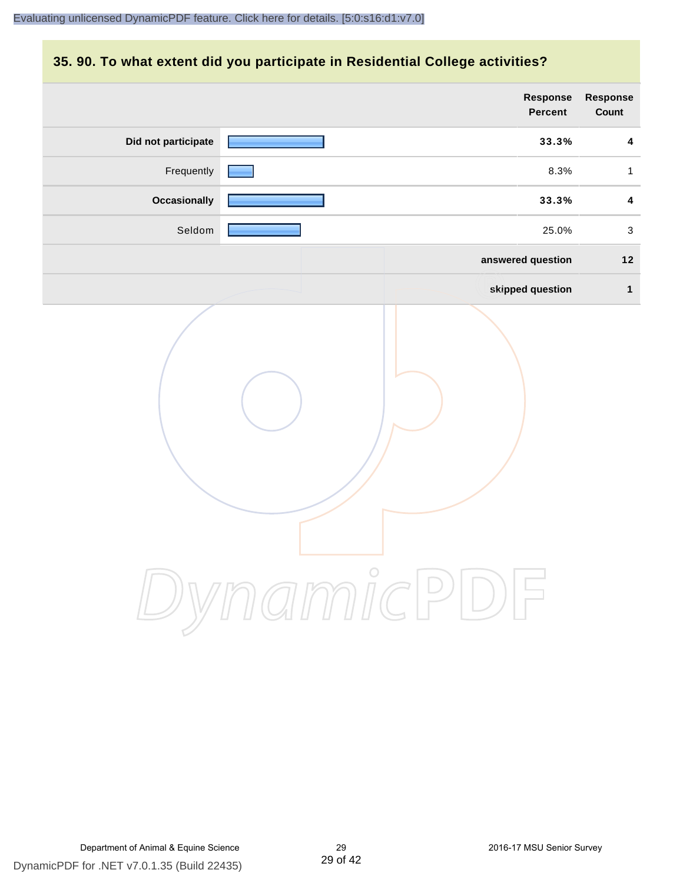### **35. 90. To what extent did you participate in Residential College activities?**

|                     | <b>Response</b><br>Percent                                                               | Response<br>Count       |
|---------------------|------------------------------------------------------------------------------------------|-------------------------|
| Did not participate | 33.3%                                                                                    | $\overline{\mathbf{4}}$ |
| Frequently          | 8.3%                                                                                     | $\mathbf{1}$            |
| <b>Occasionally</b> | 33.3%                                                                                    | $\overline{\mathbf{4}}$ |
| Seldom              | 25.0%                                                                                    | $\mathbf{3}$            |
|                     | answered question                                                                        | $12$                    |
|                     | skipped question                                                                         | $\mathbf{1}$            |
|                     | mamicPI<br>$\left(\begin{array}{c} \hline \ \hline \ \hline \ \hline \end{array}\right)$ |                         |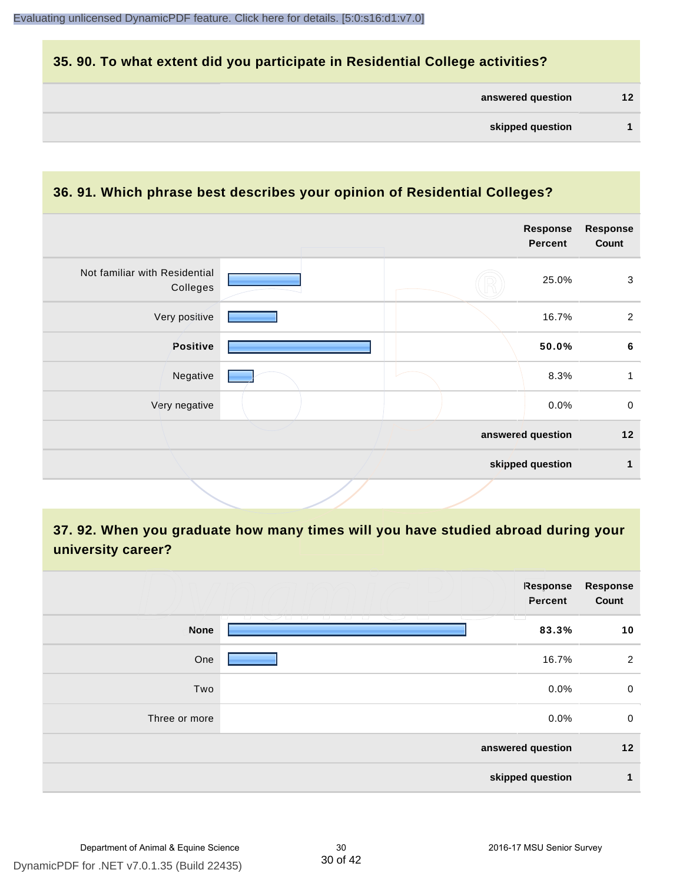### **35. 90. To what extent did you participate in Residential College activities?**

| answered question | 12 |
|-------------------|----|
|                   |    |

#### **36. 91. Which phrase best describes your opinion of Residential Colleges?**

|                                           | Response<br><b>Percent</b> | <b>Response</b><br>Count              |
|-------------------------------------------|----------------------------|---------------------------------------|
|                                           | 25.0%                      | $\mathbf{3}$                          |
|                                           | 16.7%                      | $\overline{2}$                        |
|                                           | 50.0%                      | $\bf 6$                               |
|                                           | 8.3%                       | 1                                     |
|                                           | 0.0%                       | $\mathbf 0$                           |
|                                           |                            | 12                                    |
|                                           |                            | $\mathbf{1}$                          |
| Not familiar with Residential<br>Colleges |                            | answered question<br>skipped question |

**37. 92. When you graduate how many times will you have studied abroad during your university career?**

|               | <b>Response</b><br>Percent                                         | Response<br>Count |
|---------------|--------------------------------------------------------------------|-------------------|
| <b>None</b>   | - 1 - 1 - 1<br><b>Contract Contract Contract Contract</b><br>83.3% | 10                |
| One           | 16.7%                                                              | $\overline{2}$    |
| Two           | 0.0%                                                               | 0                 |
| Three or more | 0.0%                                                               | $\mathbf 0$       |
|               | answered question                                                  | 12                |
|               | skipped question                                                   | 1                 |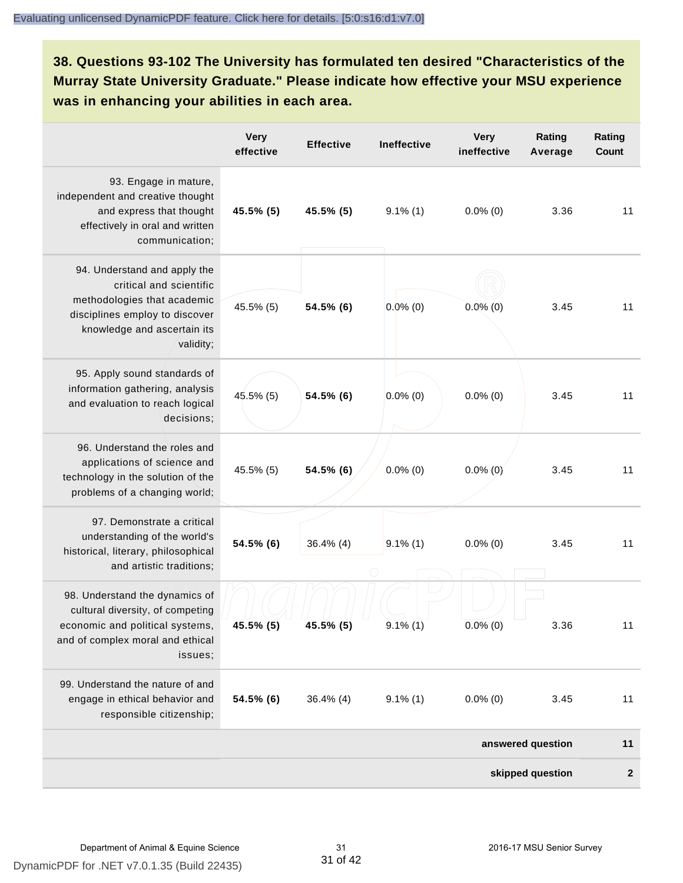# **38. Questions 93-102 The University has formulated ten desired "Characteristics of the Murray State University Graduate." Please indicate how effective your MSU experience was in enhancing your abilities in each area.**

|                                                                                                                                                                      | <b>Very</b><br>effective | <b>Effective</b> | Ineffective | <b>Very</b><br>ineffective | Rating<br>Average | Rating<br>Count |
|----------------------------------------------------------------------------------------------------------------------------------------------------------------------|--------------------------|------------------|-------------|----------------------------|-------------------|-----------------|
| 93. Engage in mature,<br>independent and creative thought<br>and express that thought<br>effectively in oral and written<br>communication;                           | 45.5% (5)                | 45.5% (5)        | $9.1\%$ (1) | $0.0\%$ (0)                | 3.36              | 11              |
| 94. Understand and apply the<br>critical and scientific<br>methodologies that academic<br>disciplines employ to discover<br>knowledge and ascertain its<br>validity; | 45.5% (5)                | 54.5% (6)        | $0.0\%$ (0) | $0.0\%$ (0)                | 3.45              | 11              |
| 95. Apply sound standards of<br>information gathering, analysis<br>and evaluation to reach logical<br>decisions;                                                     | 45.5% (5)                | 54.5% (6)        | $0.0\%$ (0) | $0.0\%$ (0)                | 3.45              | 11              |
| 96. Understand the roles and<br>applications of science and<br>technology in the solution of the<br>problems of a changing world;                                    | 45.5% (5)                | 54.5% (6)        | $0.0\%$ (0) | $0.0\%$ (0)                | 3.45              | 11              |
| 97. Demonstrate a critical<br>understanding of the world's<br>historical, literary, philosophical<br>and artistic traditions;                                        | 54.5% (6)                | $36.4\%$ (4)     | $9.1\%$ (1) | $0.0\%$ (0)                | 3.45              | 11              |
| 98. Understand the dynamics of<br>cultural diversity, of competing<br>economic and political systems,<br>and of complex moral and ethical<br>issues;                 | 45.5% (5)                | 45.5% (5)        | $9.1\%$ (1) | $0.0\%$ (0)                | 3.36              | 11              |
| 99. Understand the nature of and<br>engage in ethical behavior and<br>responsible citizenship;                                                                       | 54.5% (6)                | $36.4\%$ (4)     | $9.1\%$ (1) | $0.0\%$ (0)                | 3.45              | 11              |
|                                                                                                                                                                      |                          |                  |             |                            | answered question | 11              |
|                                                                                                                                                                      |                          |                  |             |                            | skipped question  | $\overline{2}$  |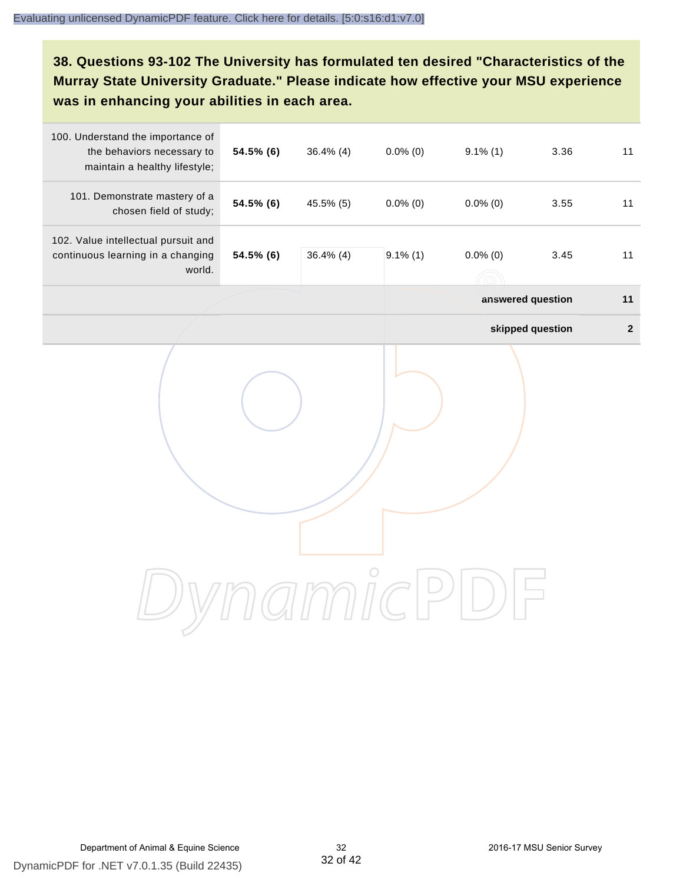**38. Questions 93-102 The University has formulated ten desired "Characteristics of the Murray State University Graduate." Please indicate how effective your MSU experience was in enhancing your abilities in each area.**

| 100. Understand the importance of<br>the behaviors necessary to<br>maintain a healthy lifestyle; | 54.5% (6) | $36.4\%$ (4) | $0.0\%$ (0) | $9.1\%$ (1)      | 3.36              | 11           |
|--------------------------------------------------------------------------------------------------|-----------|--------------|-------------|------------------|-------------------|--------------|
| 101. Demonstrate mastery of a<br>chosen field of study;                                          | 54.5% (6) | 45.5% (5)    | $0.0\%$ (0) | $0.0\%$ (0)      | 3.55              | 11           |
| 102. Value intellectual pursuit and<br>continuous learning in a changing<br>world.               | 54.5% (6) | $36.4\%$ (4) | $9.1\%$ (1) | $0.0\%$ (0)<br>ĥ | 3.45              | 11           |
|                                                                                                  |           |              |             |                  | answered question | 11           |
|                                                                                                  |           |              |             |                  | skipped question  | $\mathbf{2}$ |
|                                                                                                  |           |              |             |                  |                   |              |
|                                                                                                  |           |              |             |                  |                   |              |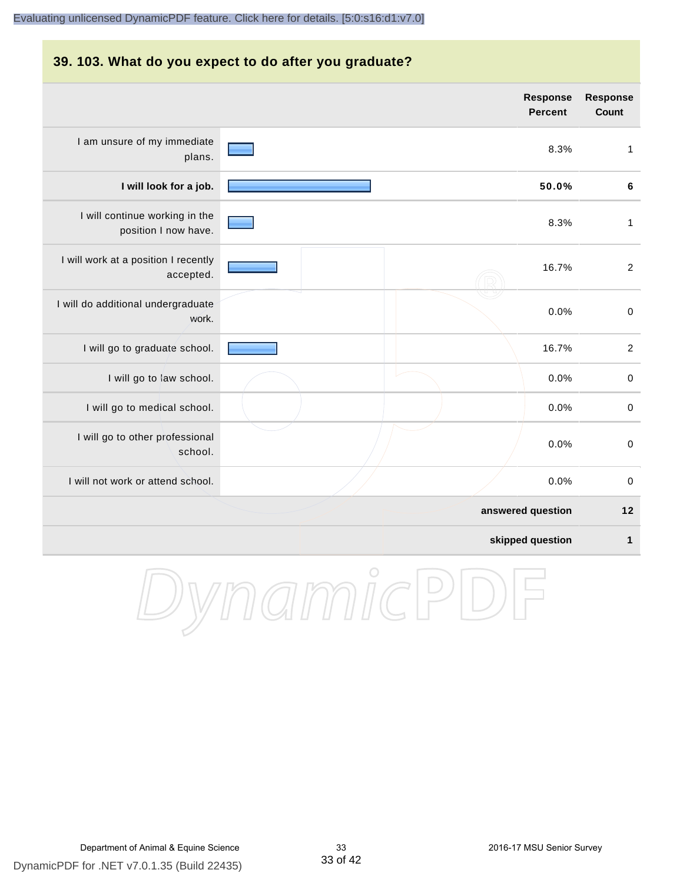# **39. 103. What do you expect to do after you graduate?**

|                                                        | Response<br><b>Percent</b> | <b>Response</b><br><b>Count</b> |
|--------------------------------------------------------|----------------------------|---------------------------------|
| I am unsure of my immediate<br>plans.                  | 8.3%                       | $\mathbf{1}$                    |
| I will look for a job.                                 | 50.0%                      | $\bf 6$                         |
| I will continue working in the<br>position I now have. | 8.3%                       | $\mathbf{1}$                    |
| I will work at a position I recently<br>accepted.      | 16.7%                      | $\overline{2}$                  |
| I will do additional undergraduate<br>work.            | 0.0%                       | $\,0\,$                         |
| I will go to graduate school.                          | 16.7%                      | $\overline{c}$                  |
| I will go to law school.                               | 0.0%                       | $\mathbf 0$                     |
| I will go to medical school.                           | 0.0%                       | $\pmb{0}$                       |
| I will go to other professional<br>school.             | 0.0%                       | $\,0\,$                         |
| I will not work or attend school.                      | 0.0%                       | $\mathbf 0$                     |
|                                                        | answered question          | 12                              |
|                                                        | skipped question           | 1                               |
|                                                        |                            |                                 |

DynamicPDF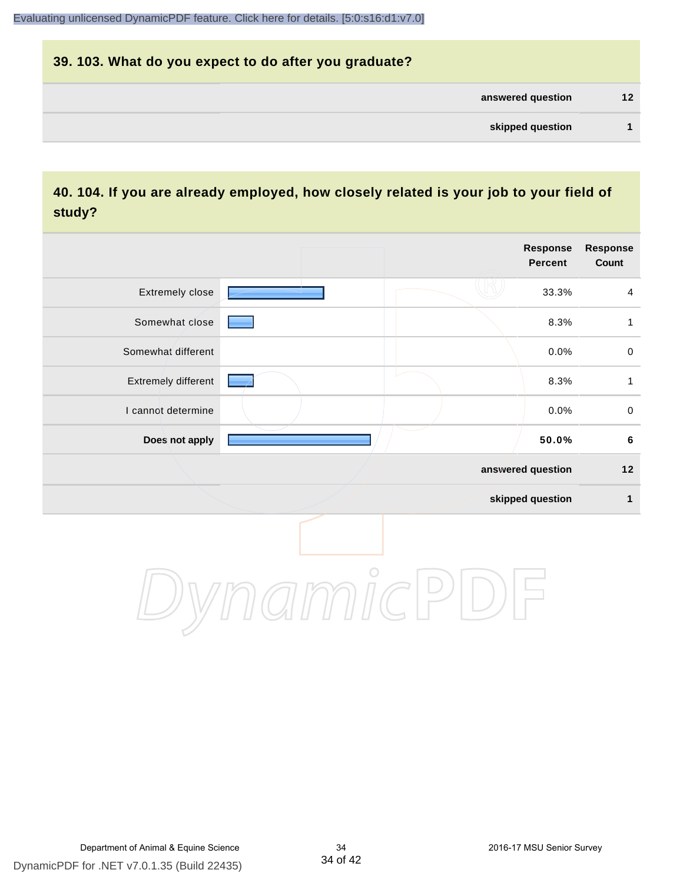# **39. 103. What do you expect to do after you graduate? answered question 12 skipped question 1**

### **40. 104. If you are already employed, how closely related is your job to your field of study?**

|                     |  | <b>Response</b><br><b>Percent</b> | Response<br>Count |
|---------------------|--|-----------------------------------|-------------------|
| Extremely close     |  | 33.3%                             | $\overline{4}$    |
| Somewhat close      |  | 8.3%                              | $\mathbf{1}$      |
| Somewhat different  |  | 0.0%                              | $\pmb{0}$         |
| Extremely different |  | 8.3%                              | $\mathbf{1}$      |
| I cannot determine  |  | 0.0%                              | $\pmb{0}$         |
| Does not apply      |  | 50.0%                             | $\bf 6$           |
|                     |  | answered question                 | $12$              |
|                     |  | skipped question                  | $\mathbf{1}$      |
|                     |  |                                   |                   |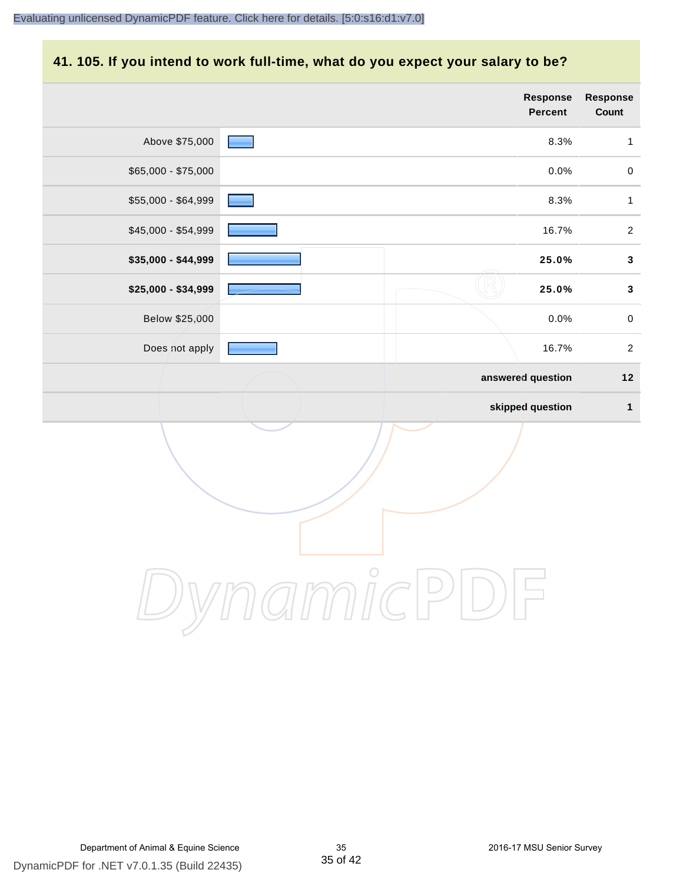#### **41. 105. If you intend to work full-time, what do you expect your salary to be?**

|                     |  | Response<br>Percent | Response<br>Count |
|---------------------|--|---------------------|-------------------|
| Above \$75,000      |  | 8.3%                | $\mathbf{1}$      |
| $$65,000 - $75,000$ |  | 0.0%                | $\mathbf 0$       |
| \$55,000 - \$64,999 |  | 8.3%                | $\mathbf{1}$      |
| \$45,000 - \$54,999 |  | 16.7%               | $\sqrt{2}$        |
| \$35,000 - \$44,999 |  | 25.0%               | $\mathbf{3}$      |
| \$25,000 - \$34,999 |  | 25.0%               | $\mathbf{3}$      |
| Below \$25,000      |  | 0.0%                | $\pmb{0}$         |
| Does not apply      |  | 16.7%               | $\sqrt{2}$        |
|                     |  | answered question   | $12$              |
|                     |  | skipped question    | $\mathbf{1}$      |
|                     |  |                     |                   |
|                     |  |                     |                   |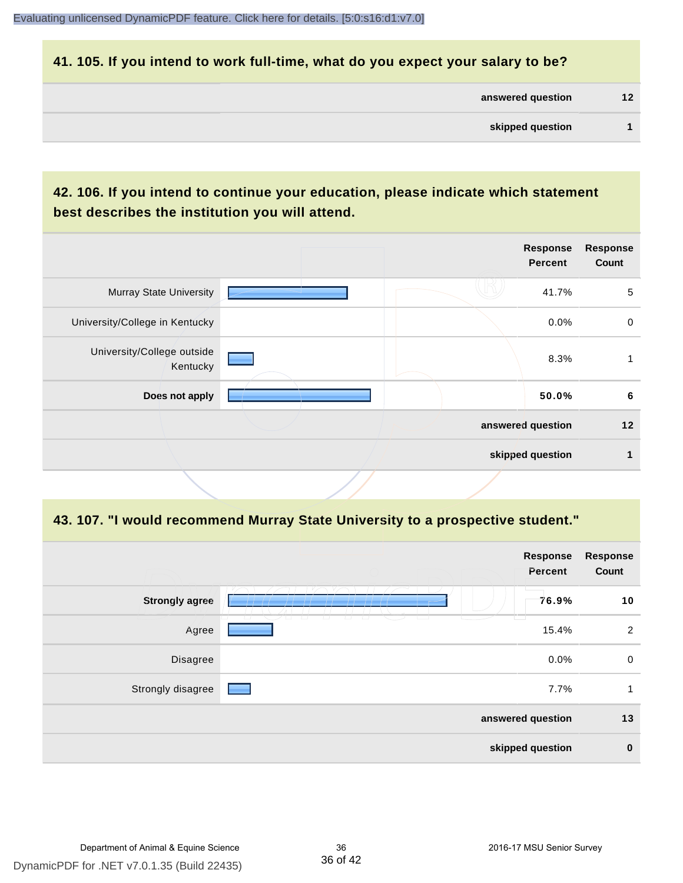#### **41. 105. If you intend to work full-time, what do you expect your salary to be?**

| answered question | 12 |
|-------------------|----|
|                   |    |

## **42. 106. If you intend to continue your education, please indicate which statement best describes the institution you will attend.**

| <b>Murray State University</b>         |                   | 41.7%            | 5  |
|----------------------------------------|-------------------|------------------|----|
|                                        |                   |                  |    |
| University/College in Kentucky         |                   | $0.0\%$          | 0  |
| University/College outside<br>Kentucky |                   | 8.3%             |    |
| Does not apply                         |                   | 50.0%            | 6  |
|                                        | answered question |                  | 12 |
|                                        |                   | skipped question | 1  |

#### **43. 107. "I would recommend Murray State University to a prospective student."**

|                       | Response<br>Percent                                                                       | <b>Response</b><br>Count |
|-----------------------|-------------------------------------------------------------------------------------------|--------------------------|
| <b>Strongly agree</b> | 76.9%<br>m                                                                                | 10                       |
| Agree                 | T<br>- 7 - 7<br>T<br>$\overline{\phantom{0}}$<br><b>The Co</b><br>$\overline{1}$<br>15.4% | $\overline{2}$           |
| Disagree              | 0.0%                                                                                      | $\mathbf 0$              |
| Strongly disagree     | 7.7%                                                                                      | 1                        |
|                       | answered question                                                                         | 13                       |
|                       | skipped question                                                                          | $\bf{0}$                 |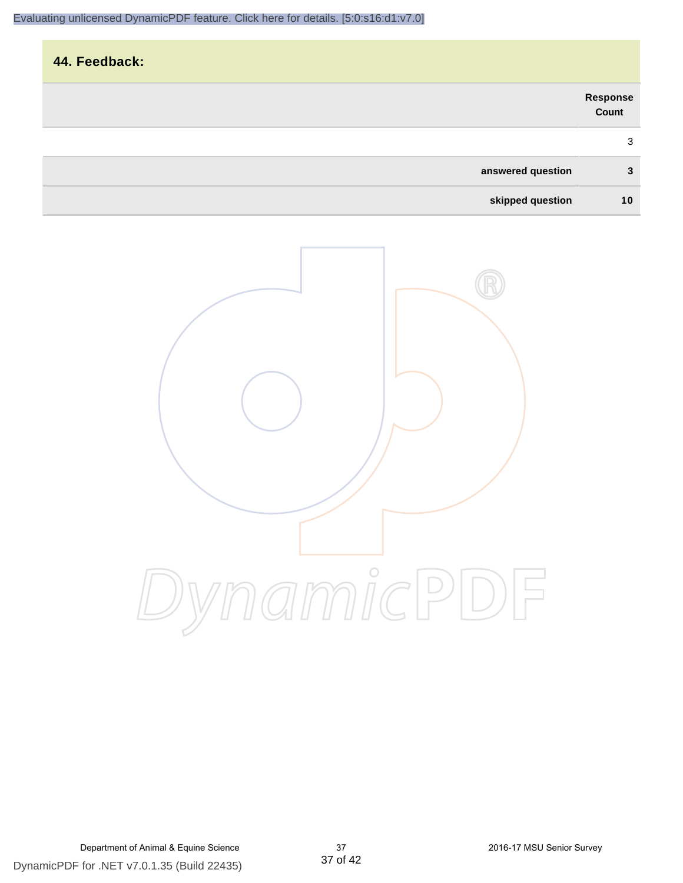| 44. Feedback:     |                   |
|-------------------|-------------------|
|                   | Response<br>Count |
|                   | 3                 |
| answered question | 3                 |
| skipped question  | 10                |

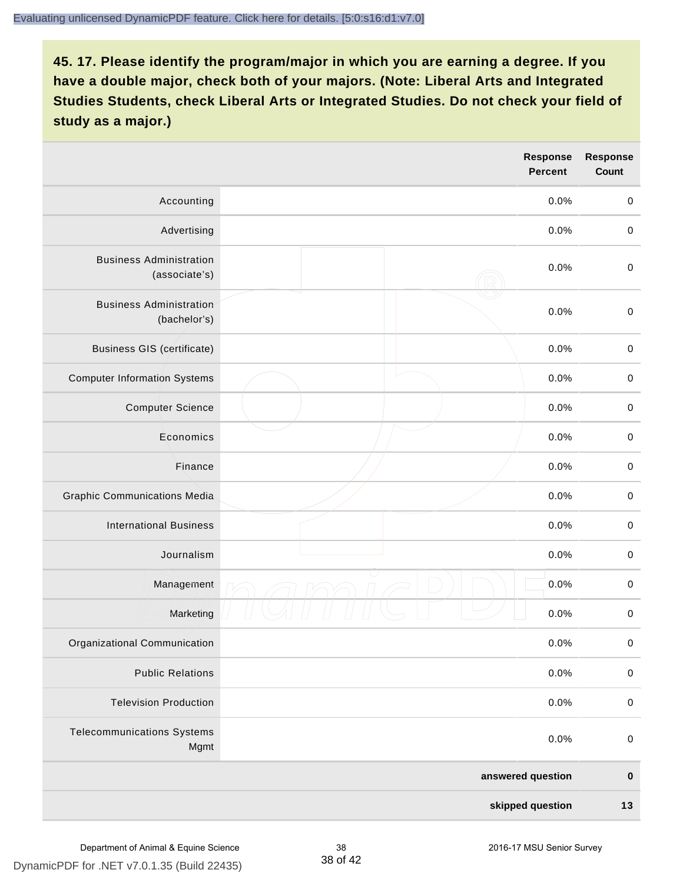|                                                 |  | Response<br><b>Percent</b> | <b>Response</b><br>Count |
|-------------------------------------------------|--|----------------------------|--------------------------|
| Accounting                                      |  | 0.0%                       | $\mathbf 0$              |
| Advertising                                     |  | 0.0%                       | $\mathbf 0$              |
| <b>Business Administration</b><br>(associate's) |  | 0.0%                       | $\mathbf 0$              |
| <b>Business Administration</b><br>(bachelor's)  |  | 0.0%                       | $\pmb{0}$                |
| <b>Business GIS (certificate)</b>               |  | 0.0%                       | $\,0\,$                  |
| <b>Computer Information Systems</b>             |  | 0.0%                       | $\pmb{0}$                |
| <b>Computer Science</b>                         |  | 0.0%                       | $\pmb{0}$                |
| Economics                                       |  | 0.0%                       | $\mathbf 0$              |
| Finance                                         |  | 0.0%                       | $\mathbf 0$              |
| <b>Graphic Communications Media</b>             |  | 0.0%                       | $\mathbf 0$              |
| <b>International Business</b>                   |  | 0.0%                       | $\pmb{0}$                |
| Journalism                                      |  | 0.0%                       | $\pmb{0}$                |
| Management                                      |  | 0.0%                       | $\pmb{0}$                |
| Marketing                                       |  | 0.0%                       | $\pmb{0}$                |
| Organizational Communication                    |  | 0.0%                       | $\pmb{0}$                |
| <b>Public Relations</b>                         |  | 0.0%                       | $\pmb{0}$                |
| <b>Television Production</b>                    |  | 0.0%                       | $\mathbf 0$              |
| <b>Telecommunications Systems</b><br>Mgmt       |  | 0.0%                       | $\pmb{0}$                |
|                                                 |  | answered question          | $\pmb{0}$                |
| skipped question                                |  | 13                         |                          |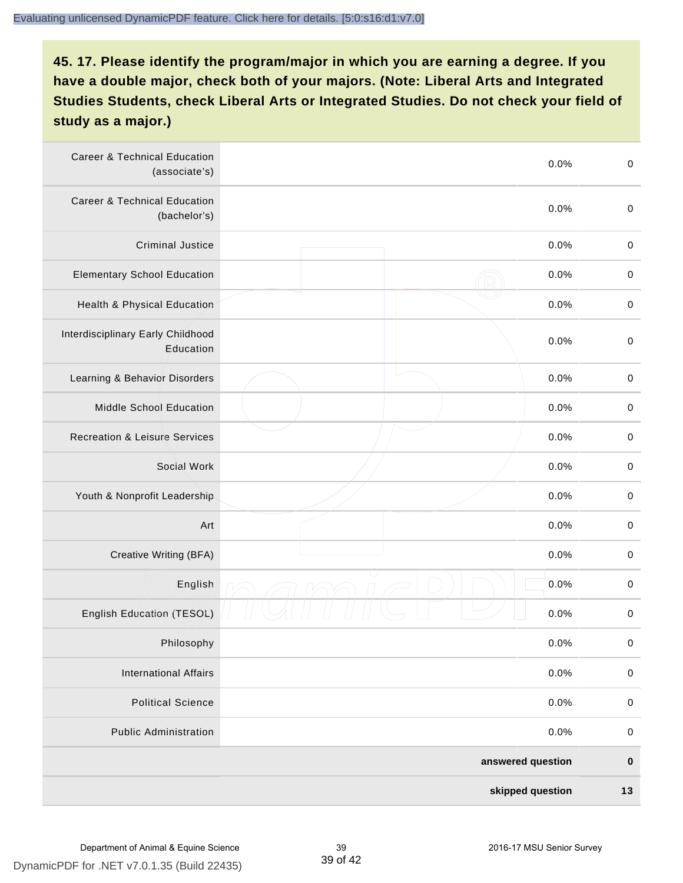| <b>Career &amp; Technical Education</b><br>(associate's) | 0.0%              | $\pmb{0}$   |
|----------------------------------------------------------|-------------------|-------------|
| <b>Career &amp; Technical Education</b><br>(bachelor's)  | 0.0%              | $\mathbf 0$ |
| <b>Criminal Justice</b>                                  | 0.0%              | $\,0\,$     |
| <b>Elementary School Education</b>                       | 0.0%              | $\,0\,$     |
| Health & Physical Education                              | 0.0%              | $\,0\,$     |
| Interdisciplinary Early Childhood<br>Education           | 0.0%              | $\pmb{0}$   |
| Learning & Behavior Disorders                            | 0.0%              | $\,0\,$     |
| Middle School Education                                  | 0.0%              | $\mathbf 0$ |
| <b>Recreation &amp; Leisure Services</b>                 | 0.0%              | $\mathbf 0$ |
| Social Work                                              | 0.0%              | $\pmb{0}$   |
| Youth & Nonprofit Leadership                             | 0.0%              | $\,0\,$     |
| Art                                                      | 0.0%              | $\,0\,$     |
| Creative Writing (BFA)                                   | 0.0%              | $\pmb{0}$   |
| English                                                  | 0.0%              | $\pmb{0}$   |
| English Education (TESOL)                                | 0.0%              | $\,0\,$     |
| Philosophy                                               | 0.0%              | 0           |
| <b>International Affairs</b>                             | 0.0%              | $\mathbf 0$ |
| <b>Political Science</b>                                 | 0.0%              | $\mathbf 0$ |
| <b>Public Administration</b>                             | 0.0%              | $\mathbf 0$ |
|                                                          | answered question | $\pmb{0}$   |
|                                                          | skipped question  | 13          |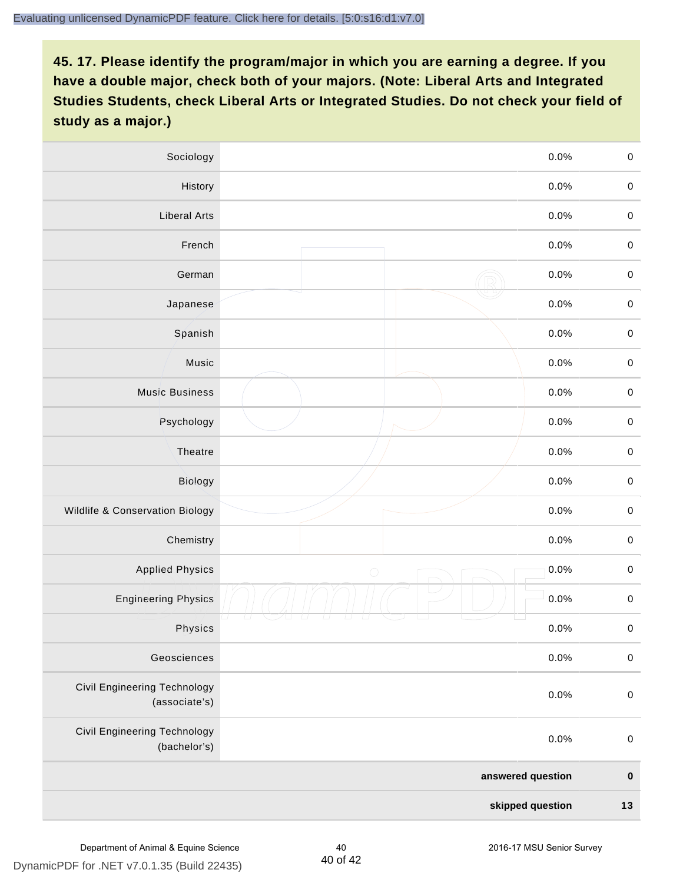| Sociology                                           | 0.0%               | $\mathbf 0$         |
|-----------------------------------------------------|--------------------|---------------------|
| History                                             | 0.0%               | $\mathbf 0$         |
| <b>Liberal Arts</b>                                 | 0.0%               | $\mathbf 0$         |
| French                                              | 0.0%               | $\pmb{0}$           |
| German                                              | 0.0%               | $\mathbf 0$         |
| Japanese                                            | 0.0%               | $\mathbf 0$         |
| Spanish                                             | 0.0%               | $\mathbf 0$         |
| Music                                               | 0.0%               | $\mathbf 0$         |
| <b>Music Business</b>                               | 0.0%               | $\pmb{0}$           |
| Psychology                                          | 0.0%               | $\mathbf 0$         |
| Theatre                                             | 0.0%               | $\mathbf 0$         |
| Biology                                             | 0.0%               | $\mathbf 0$         |
| Wildlife & Conservation Biology                     | 0.0%               | $\mathbf 0$         |
| Chemistry                                           | 0.0%               | $\pmb{0}$           |
| <b>Applied Physics</b>                              | 0.0%<br>$\bigcirc$ | $\mathbf 0$         |
| <b>Engineering Physics</b>                          | 0.0%               | $\mathbf 0$         |
| Physics                                             | 0.0%               | $\mathsf{O}\xspace$ |
| Geosciences                                         | 0.0%               | $\mathbf 0$         |
| Civil Engineering Technology<br>(associate's)       | 0.0%               | $\pmb{0}$           |
| <b>Civil Engineering Technology</b><br>(bachelor's) | 0.0%               | $\mathbf 0$         |
|                                                     | answered question  | $\pmb{0}$           |
| skipped question                                    |                    | $13$                |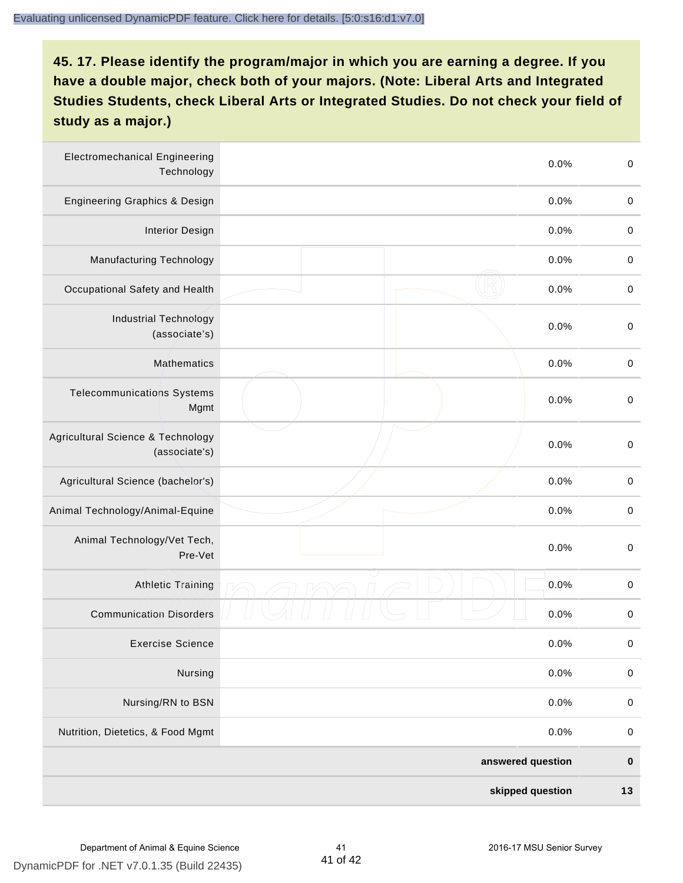| <b>Electromechanical Engineering</b><br>Technology |  | 0.0%              | $\mathbf 0$ |
|----------------------------------------------------|--|-------------------|-------------|
| <b>Engineering Graphics &amp; Design</b>           |  | 0.0%              | $\mathbf 0$ |
| <b>Interior Design</b>                             |  | 0.0%              | $\pmb{0}$   |
| <b>Manufacturing Technology</b>                    |  | 0.0%              | $\pmb{0}$   |
| Occupational Safety and Health                     |  | 0.0%              | $\pmb{0}$   |
| <b>Industrial Technology</b><br>(associate's)      |  | 0.0%              | $\pmb{0}$   |
| <b>Mathematics</b>                                 |  | 0.0%              | $\pmb{0}$   |
| <b>Telecommunications Systems</b><br>Mgmt          |  | 0.0%              | $\pmb{0}$   |
| Agricultural Science & Technology<br>(associate's) |  | 0.0%              | $\mathbf 0$ |
| Agricultural Science (bachelor's)                  |  | 0.0%              | $\mathbf 0$ |
| Animal Technology/Animal-Equine                    |  | 0.0%              | $\pmb{0}$   |
| Animal Technology/Vet Tech,<br>Pre-Vet             |  | 0.0%              | $\pmb{0}$   |
| <b>Athletic Training</b>                           |  | 0.0%              | $\pmb{0}$   |
| <b>Communication Disorders</b>                     |  | 0.0%              | $\pmb{0}$   |
| <b>Exercise Science</b>                            |  | 0.0%              | $\pmb{0}$   |
| Nursing                                            |  | 0.0%              | $\mathbf 0$ |
| Nursing/RN to BSN                                  |  | 0.0%              | $\pmb{0}$   |
| Nutrition, Dietetics, & Food Mgmt                  |  | 0.0%              | $\,0\,$     |
|                                                    |  | answered question | $\pmb{0}$   |
| skipped question                                   |  |                   | $13$        |